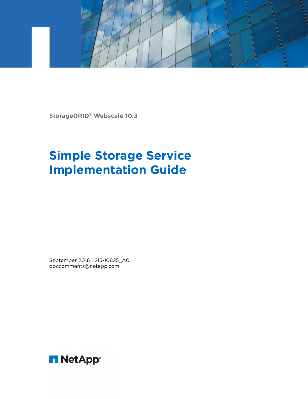

**StorageGRID**® **Webscale 10.3**

# **Simple Storage Service Implementation Guide**

September 2016 | 215-10825\_A0 doccomments@netapp.com

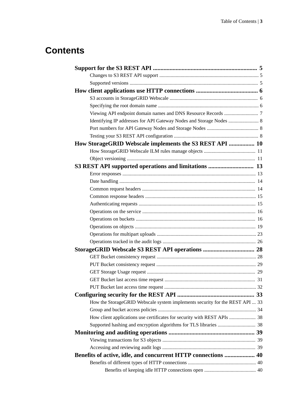# **Contents**

| How StorageGRID Webscale implements the S3 REST API  10                      |  |
|------------------------------------------------------------------------------|--|
|                                                                              |  |
|                                                                              |  |
| S3 REST API supported operations and limitations  13                         |  |
|                                                                              |  |
|                                                                              |  |
|                                                                              |  |
|                                                                              |  |
|                                                                              |  |
|                                                                              |  |
|                                                                              |  |
|                                                                              |  |
|                                                                              |  |
|                                                                              |  |
|                                                                              |  |
|                                                                              |  |
|                                                                              |  |
|                                                                              |  |
|                                                                              |  |
|                                                                              |  |
|                                                                              |  |
| How the StorageGRID Webscale system implements security for the REST API  33 |  |
|                                                                              |  |
| How client applications use certificates for security with REST APIs  38     |  |
|                                                                              |  |
|                                                                              |  |
|                                                                              |  |
|                                                                              |  |
| Benefits of active, idle, and concurrent HTTP connections  40                |  |
|                                                                              |  |
|                                                                              |  |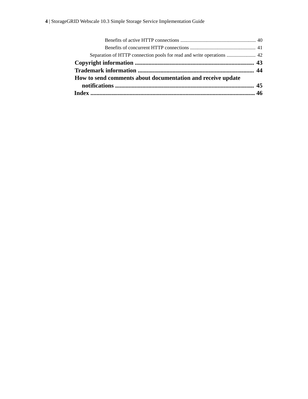| How to send comments about documentation and receive update |  |
|-------------------------------------------------------------|--|
|                                                             |  |
|                                                             |  |
|                                                             |  |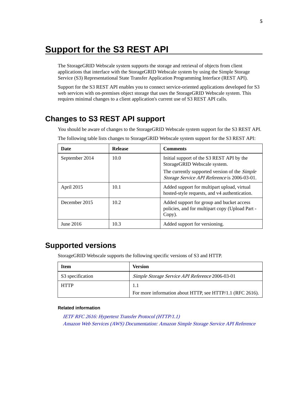# <span id="page-4-0"></span>**Support for the S3 REST API**

The StorageGRID Webscale system supports the storage and retrieval of objects from client applications that interface with the StorageGRID Webscale system by using the Simple Storage Service (S3) Representational State Transfer Application Programming Interface (REST API).

Support for the S3 REST API enables you to connect service-oriented applications developed for S3 web services with on-premises object storage that uses the StorageGRID Webscale system. This requires minimal changes to a client application's current use of S3 REST API calls.

# **Changes to S3 REST API support**

You should be aware of changes to the StorageGRID Webscale system support for the S3 REST API.

| Date           | <b>Release</b> | <b>Comments</b>                                                                                             |
|----------------|----------------|-------------------------------------------------------------------------------------------------------------|
| September 2014 | 10.0           | Initial support of the S3 REST API by the<br>StorageGRID Webscale system.                                   |
|                |                | The currently supported version of the <i>Simple</i><br><i>Storage Service API Reference</i> is 2006-03-01. |
| April 2015     | 10.1           | Added support for multipart upload, virtual<br>hosted-style requests, and v4 authentication.                |
| December 2015  | 10.2           | Added support for group and bucket access<br>policies, and for multipart copy (Upload Part -<br>Copy).      |
| June 2016      | 10.3           | Added support for versioning.                                                                               |

The following table lists changes to StorageGRID Webscale system support for the S3 REST API:

# **Supported versions**

StorageGRID Webscale supports the following specific versions of S3 and HTTP.

| Item             | <b>Version</b>                                            |
|------------------|-----------------------------------------------------------|
| S3 specification | Simple Storage Service API Reference 2006-03-01           |
| <b>HTTP</b>      | 1.1                                                       |
|                  | For more information about HTTP, see HTTP/1.1 (RFC 2616). |

### **Related information**

[IETF RFC 2616: Hypertext Transfer Protocol \(HTTP/1.1\)](http://tools.ietf.org/html/rfc2616) [Amazon Web Services \(AWS\) Documentation: Amazon Simple Storage Service API Reference](http://docs.aws.amazon.com/AmazonS3/latest/API/Welcome.html)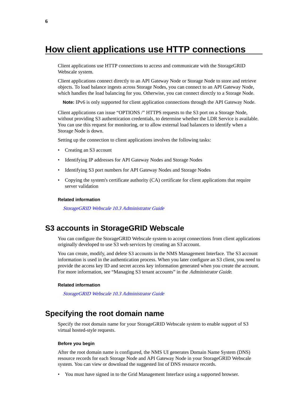# <span id="page-5-0"></span>**How client applications use HTTP connections**

Client applications use HTTP connections to access and communicate with the StorageGRID Webscale system.

Client applications connect directly to an API Gateway Node or Storage Node to store and retrieve objects. To load balance ingests across Storage Nodes, you can connect to an API Gateway Node, which handles the load balancing for you. Otherwise, you can connect directly to a Storage Node.

**Note:** IPv6 is only supported for client application connections through the API Gateway Node.

Client applications can issue "OPTIONS /" HTTPS requests to the S3 port on a Storage Node, without providing S3 authentication credentials, to determine whether the LDR Service is available. You can use this request for monitoring, or to allow external load balancers to identify when a Storage Node is down.

Setting up the connection to client applications involves the following tasks:

- Creating an S3 account
- Identifying IP addresses for API Gateway Nodes and Storage Nodes
- Identifying S3 port numbers for API Gateway Nodes and Storage Nodes
- Copying the system's certificate authority (CA) certificate for client applications that require server validation

### **Related information**

[StorageGRID Webscale 10.3 Administrator Guide](https://library.netapp.com/ecm/ecm_download_file/ECMLP2411995)

# **S3 accounts in StorageGRID Webscale**

You can configure the StorageGRID Webscale system to accept connections from client applications originally developed to use S3 web services by creating an S3 account.

You can create, modify, and delete S3 accounts in the NMS Management Interface. The S3 account information is used in the authentication process. When you later configure an S3 client, you need to provide the access key ID and secret access key information generated when you create the account. For more information, see "Managing S3 tenant accounts" in the Administrator Guide.

#### **Related information**

[StorageGRID Webscale 10.3 Administrator Guide](https://library.netapp.com/ecm/ecm_download_file/ECMLP2411995)

# **Specifying the root domain name**

Specify the root domain name for your StorageGRID Webscale system to enable support of S3 virtual hosted-style requests.

#### **Before you begin**

After the root domain name is configured, the NMS UI generates Domain Name System (DNS) resource records for each Storage Node and API Gateway Node in your StorageGRID Webscale system. You can view or download the suggested list of DNS resource records.

• You must have signed in to the Grid Management Interface using a supported browser.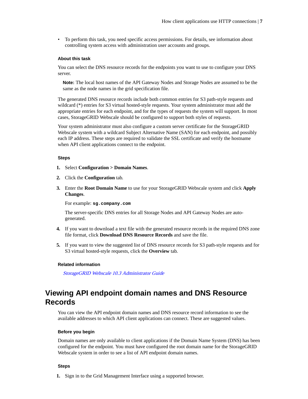<span id="page-6-0"></span>• To perform this task, you need specific access permissions. For details, see information about controlling system access with administration user accounts and groups.

### **About this task**

You can select the DNS resource records for the endpoints you want to use to configure your DNS server.

**Note:** The local host names of the API Gateway Nodes and Storage Nodes are assumed to be the same as the node names in the grid specification file.

The generated DNS resource records include both common entries for S3 path-style requests and wildcard (\*) entries for S3 virtual hosted-style requests. Your system administrator must add the appropriate entries for each endpoint, and for the types of requests the system will support. In most cases, StorageGRID Webscale should be configured to support both styles of requests.

Your system administrator must also configure a custom server certificate for the StorageGRID Webscale system with a wildcard Subject Alternative Name (SAN) for each endpoint, and possibly each IP address. These steps are required to validate the SSL certificate and verify the hostname when API client applications connect to the endpoint.

### **Steps**

- **1.** Select **Configuration > Domain Names**.
- **2.** Click the **Configuration** tab.
- **3.** Enter the **Root Domain Name** to use for your StorageGRID Webscale system and click **Apply Changes**.

For example: **sg.company.com**

The server-specific DNS entries for all Storage Nodes and API Gateway Nodes are autogenerated.

- **4.** If you want to download a text file with the generated resource records in the required DNS zone file format, click **Download DNS Resource Records** and save the file.
- **5.** If you want to view the suggested list of DNS resource records for S3 path-style requests and for S3 virtual hosted-style requests, click the **Overview** tab.

#### **Related information**

[StorageGRID Webscale 10.3 Administrator Guide](https://library.netapp.com/ecm/ecm_download_file/ECMLP2411995)

# **Viewing API endpoint domain names and DNS Resource Records**

You can view the API endpoint domain names and DNS resource record information to see the available addresses to which API client applications can connect. These are suggested values.

### **Before you begin**

Domain names are only available to client applications if the Domain Name System (DNS) has been configured for the endpoint. You must have configured the root domain name for the StorageGRID Webscale system in order to see a list of API endpoint domain names.

### **Steps**

**1.** Sign in to the Grid Management Interface using a supported browser.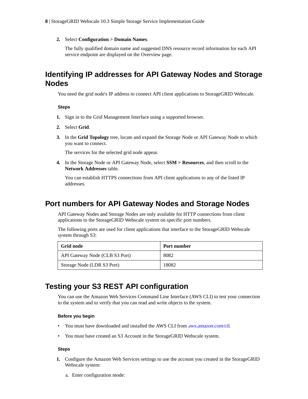<span id="page-7-0"></span>**2.** Select **Configuration > Domain Names**.

The fully qualified domain name and suggested DNS resource record information for each API service endpoint are displayed on the Overview page.

# **Identifying IP addresses for API Gateway Nodes and Storage Nodes**

You need the grid node's IP address to connect API client applications to StorageGRID Webscale.

### **Steps**

- **1.** Sign in to the Grid Management Interface using a supported browser.
- **2.** Select **Grid**.
- **3.** In the **Grid Topology** tree, locate and expand the Storage Node or API Gateway Node to which you want to connect.

The services for the selected grid node appear.

**4.** In the Storage Node or API Gateway Node, select **SSM > Resources**, and then scroll to the **Network Addresses** table.

You can establish HTTPS connections from API client applications to any of the listed IP addresses.

# **Port numbers for API Gateway Nodes and Storage Nodes**

API Gateway Nodes and Storage Nodes are only available for HTTP connections from client applications to the StorageGRID Webscale system on specific port numbers.

The following ports are used for client applications that interface to the StorageGRID Webscale system through S3:

| Grid node                      | Port number |
|--------------------------------|-------------|
| API Gateway Node (CLB S3 Port) | 8082        |
| Storage Node (LDR S3 Port)     | 18082       |

# **Testing your S3 REST API configuration**

You can use the Amazon Web Services Command Line Interface (AWS CLI) to test your connection to the system and to verify that you can read and write objects to the system.

### **Before you begin**

- You must have downloaded and installed the AWS CLI from *[aws.amazon.com/cli](http://aws.amazon.com/cli).*
- You must have created an S3 Account in the StorageGRID Webscale system.

#### **Steps**

- **1.** Configure the Amazon Web Services settings to use the account you created in the StorageGRID Webscale system:
	- a. Enter configuration mode: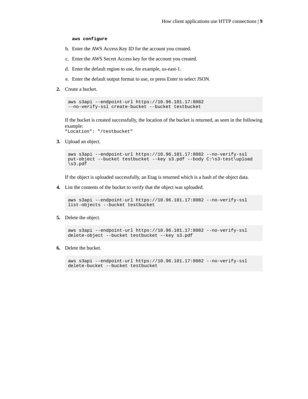#### **aws configure**

- b. Enter the AWS Access Key ID for the account you created.
- c. Enter the AWS Secret Access key for the account you created.
- d. Enter the default region to use, for example, us-east-1.
- e. Enter the default output format to use, or press Enter to select JSON.
- **2.** Create a bucket.

```
aws s3api --endpoint-url https://10.96.101.17:8082 
--no-verify-ssl create-bucket --bucket testbucket
```
If the bucket is created successfully, the location of the bucket is returned, as seen in the following example:

"Location": "/testbucket"

**3.** Upload an object.

```
aws s3api --endpoint-url https://10.96.101.17:8082 --no-verify-ssl 
put-object --bucket testbucket --key s3.pdf --body C:\s3-test\upload
\s3.pdf
```
If the object is uploaded successfully, an Etag is returned which is a hash of the object data.

**4.** List the contents of the bucket to verify that the object was uploaded.

```
aws s3api --endpoint-url https://10.96.101.17:8082 --no-verify-ssl 
list-objects --bucket testbucket
```
**5.** Delete the object.

```
aws s3api --endpoint-url https://10.96.101.17:8082 --no-verify-ssl 
delete-object --bucket testbucket --key s3.pdf
```
**6.** Delete the bucket.

```
aws s3api --endpoint-url https://10.96.101.17:8082 --no-verify-ssl 
delete-bucket --bucket testbucket
```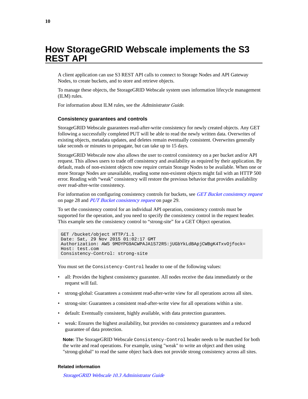# <span id="page-9-0"></span>**How StorageGRID Webscale implements the S3 REST API**

A client application can use S3 REST API calls to connect to Storage Nodes and API Gateway Nodes, to create buckets, and to store and retrieve objects.

To manage these objects, the StorageGRID Webscale system uses information lifecycle management (ILM) rules.

For information about ILM rules, see the Administrator Guide.

### **Consistency guarantees and controls**

StorageGRID Webscale guarantees read-after-write consistency for newly created objects. Any GET following a successfully completed PUT will be able to read the newly written data. Overwrites of existing objects, metadata updates, and deletes remain eventually consistent. Overwrites generally take seconds or minutes to propagate, but can take up to 15 days.

StorageGRID Webscale now also allows the user to control consistency on a per bucket and/or API request. This allows users to trade off consistency and availability as required by their application. By default, reads of non-existent objects now require certain Storage Nodes to be available. When one or more Storage Nodes are unavailable, reading some non-existent objects might fail with an HTTP 500 error. Reading with "weak" consistency will restore the previous behavior that provides availability over read-after-write consistency.

For information on configuring consistency controls for buckets, see *[GET Bucket consistency request](#page-27-0)* on page 28 and *[PUT Bucket consistency request](#page-28-0)* on page 29.

To set the consistency control for an individual API operation, consistency controls must be supported for the operation, and you need to specify the consistency control in the request header. This example sets the consistency control to "strong-site" for a GET Object operation.

```
GET /bucket/object HTTP/1.1
Date: Sat, 29 Nov 2015 01:02:17 GMT
Authorization: AWS 9MOYPG9ACWPAJA1S72R5:jUGbYkLdBApjCWBgK4TxvOjfock=
Host: test.com
Consistency-Control: strong-site
```
You must set the Consistency-Control header to one of the following values:

- all: Provides the highest consistency guarantee. All nodes receive the data immediately or the request will fail.
- strong-global: Guarantees a consistent read-after-write view for all operations across all sites.
- strong-site: Guarantees a consistent read-after-write view for all operations within a site.
- default: Eventually consistent, highly available, with data protection guarantees.
- weak: Ensures the highest availability, but provides no consistency guarantees and a reduced guarantee of data protection.

**Note:** The StorageGRID Webscale Consistency-Control header needs to be matched for both the write and read operations. For example, using "weak" to write an object and then using "strong-global" to read the same object back does not provide strong consistency across all sites.

#### **Related information**

[StorageGRID Webscale 10.3 Administrator Guide](https://library.netapp.com/ecm/ecm_download_file/ECMLP2411995)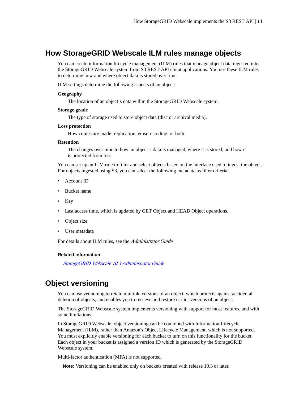# <span id="page-10-0"></span>**How StorageGRID Webscale ILM rules manage objects**

You can create information lifecycle management (ILM) rules that manage object data ingested into the StorageGRID Webscale system from S3 REST API client applications. You use these ILM rules to determine how and where object data is stored over time.

ILM settings determine the following aspects of an object:

#### **Geography**

The location of an object's data within the StorageGRID Webscale system.

### **Storage grade**

The type of storage used to store object data (disc or archival media).

#### **Loss protection**

How copies are made: replication, erasure coding, or both.

#### **Retention**

The changes over time to how an object's data is managed, where it is stored, and how it is protected from loss.

You can set up an ILM rule to filter and select objects based on the interface used to ingest the object. For objects ingested using S3, you can select the following metadata as filter criteria:

- Account ID
- Bucket name
- Key
- Last access time, which is updated by GET Object and HEAD Object operations.
- Object size
- User metadata

For details about ILM rules, see the Administrator Guide.

#### **Related information**

[StorageGRID Webscale 10.3 Administrator Guide](https://library.netapp.com/ecm/ecm_download_file/ECMLP2411995)

# **Object versioning**

You can use versioning to retain multiple versions of an object, which protects against accidental deletion of objects, and enables you to retrieve and restore earlier versions of an object.

The StorageGRID Webscale system implements versioning with support for most features, and with some limitations.

In StorageGRID Webscale, object versioning can be combined with Information Lifecycle Management (ILM), rather than Amazon's Object Lifecycle Management, which is not supported. You must explicitly enable versioning for each bucket to turn on this functionality for the bucket. Each object in your bucket is assigned a version ID which is generated by the StorageGRID Webscale system.

Multi-factor authentication (MFA) is not supported.

**Note:** Versioning can be enabled only on buckets created with release 10.3 or later.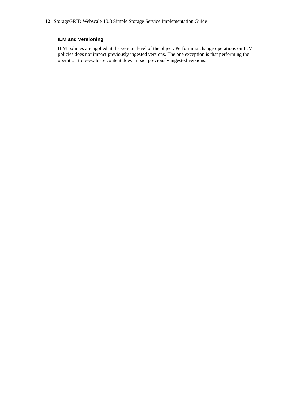# **ILM and versioning**

ILM policies are applied at the version level of the object. Performing change operations on ILM policies does not impact previously ingested versions. The one exception is that performing the operation to re-evaluate content does impact previously ingested versions.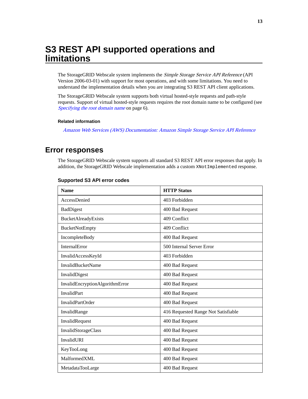# <span id="page-12-0"></span>**S3 REST API supported operations and limitations**

The StorageGRID Webscale system implements the Simple Storage Service API Reference (API Version 2006-03-01) with support for most operations, and with some limitations. You need to understand the implementation details when you are integrating S3 REST API client applications.

The StorageGRID Webscale system supports both virtual hosted-style requests and path-style requests. Support of virtual hosted-style requests requires the root domain name to be configured (see [Specifying the root domain name](#page-5-0) on page 6).

### **Related information**

[Amazon Web Services \(AWS\) Documentation: Amazon Simple Storage Service API Reference](http://docs.aws.amazon.com/AmazonS3/latest/API/Welcome.html)

# **Error responses**

The StorageGRID Webscale system supports all standard S3 REST API error responses that apply. In addition, the StorageGRID Webscale implementation adds a custom XNotImplemented response.

| <b>Name</b>                     | <b>HTTP Status</b>                  |
|---------------------------------|-------------------------------------|
| AccessDenied                    | 403 Forbidden                       |
| <b>BadDigest</b>                | 400 Bad Request                     |
| <b>BucketAlreadyExists</b>      | 409 Conflict                        |
| <b>BucketNotEmpty</b>           | 409 Conflict                        |
| IncompleteBody                  | 400 Bad Request                     |
| <b>InternalError</b>            | 500 Internal Server Error           |
| InvalidAccessKeyId              | 403 Forbidden                       |
| <b>InvalidBucketName</b>        | 400 Bad Request                     |
| InvalidDigest                   | 400 Bad Request                     |
| InvalidEncryptionAlgorithmError | 400 Bad Request                     |
| <b>InvalidPart</b>              | 400 Bad Request                     |
| <b>InvalidPartOrder</b>         | 400 Bad Request                     |
| InvalidRange                    | 416 Requested Range Not Satisfiable |
| InvalidRequest                  | 400 Bad Request                     |
| InvalidStorageClass             | 400 Bad Request                     |
| InvalidURI                      | 400 Bad Request                     |
| KeyTooLong                      | 400 Bad Request                     |
| MalformedXML                    | 400 Bad Request                     |
| MetadataTooLarge                | 400 Bad Request                     |

#### **Supported S3 API error codes**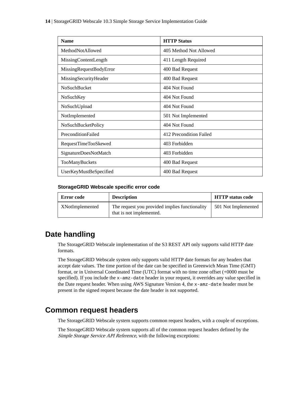<span id="page-13-0"></span>

| <b>Name</b>             | <b>HTTP Status</b>      |
|-------------------------|-------------------------|
| MethodNotAllowed        | 405 Method Not Allowed  |
| MissingContentLength    | 411 Length Required     |
| MissingRequestBodyError | 400 Bad Request         |
| MissingSecurityHeader   | 400 Bad Request         |
| <b>NoSuchBucket</b>     | 404 Not Found           |
| NoSuchKey               | 404 Not Found           |
| NoSuchUpload            | 404 Not Found           |
| NotImplemented          | 501 Not Implemented     |
| NoSuchBucketPolicy      | 404 Not Found           |
| PreconditionFailed      | 412 Precondition Failed |
| RequestTimeTooSkewed    | 403 Forbidden           |
| SignatureDoesNotMatch   | 403 Forbidden           |
| TooManyBuckets          | 400 Bad Request         |
| UserKeyMustBeSpecified  | 400 Bad Request         |

## **StorageGRID Webscale specific error code**

| Error code      | <b>Description</b>                                                         | <b>HTTP</b> status code |
|-----------------|----------------------------------------------------------------------------|-------------------------|
| XNotImplemented | The request you provided implies functionality<br>that is not implemented. | 501 Not Implemented     |

# **Date handling**

The StorageGRID Webscale implementation of the S3 REST API only supports valid HTTP date formats.

The StorageGRID Webscale system only supports valid HTTP date formats for any headers that accept date values. The time portion of the date can be specified in Greenwich Mean Time (GMT) format, or in Universal Coordinated Time (UTC) format with no time zone offset (+0000 must be specified). If you include the x-amz-date header in your request, it overrides any value specified in the Date request header. When using AWS Signature Version 4, the x-amz-date header must be present in the signed request because the date header is not supported.

# **Common request headers**

The StorageGRID Webscale system supports common request headers, with a couple of exceptions.

The StorageGRID Webscale system supports all of the common request headers defined by the Simple Storage Service API Reference, with the following exceptions: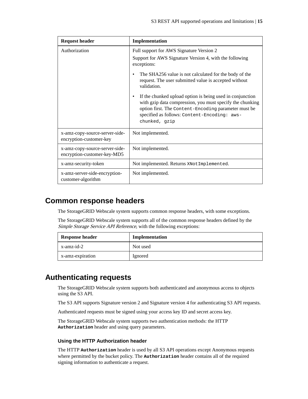<span id="page-14-0"></span>

| <b>Request header</b>                                         | Implementation                                                                                                                                                                                                                                               |
|---------------------------------------------------------------|--------------------------------------------------------------------------------------------------------------------------------------------------------------------------------------------------------------------------------------------------------------|
| Authorization                                                 | Full support for AWS Signature Version 2                                                                                                                                                                                                                     |
|                                                               | Support for AWS Signature Version 4, with the following<br>exceptions:                                                                                                                                                                                       |
|                                                               | The SHA256 value is not calculated for the body of the<br>$\bullet$<br>request. The user submitted value is accepted without<br>validation.                                                                                                                  |
|                                                               | If the chunked upload option is being used in conjunction<br>$\bullet$<br>with gzip data compression, you must specify the chunking<br>option first. The Content-Encoding parameter must be<br>specified as follows: Content-Encoding: aws-<br>chunked, qzip |
| x-amz-copy-source-server-side-<br>encryption-customer-key     | Not implemented.                                                                                                                                                                                                                                             |
| x-amz-copy-source-server-side-<br>encryption-customer-key-MD5 | Not implemented.                                                                                                                                                                                                                                             |
| x-amz-security-token                                          | Not implemented. Returns XNot Implemented.                                                                                                                                                                                                                   |
| x-amz-server-side-encryption-<br>customer-algorithm           | Not implemented.                                                                                                                                                                                                                                             |

# **Common response headers**

The StorageGRID Webscale system supports common response headers, with some exceptions.

The StorageGRID Webscale system supports all of the common response headers defined by the Simple Storage Service API Reference, with the following exceptions:

| <b>Response header</b> | Implementation |
|------------------------|----------------|
| x-amz-id-2             | Not used       |
| x-amz-expiration       | Ignored        |

# **Authenticating requests**

The StorageGRID Webscale system supports both authenticated and anonymous access to objects using the S3 API.

The S3 API supports Signature version 2 and Signature version 4 for authenticating S3 API requests.

Authenticated requests must be signed using your access key ID and secret access key.

The StorageGRID Webscale system supports two authentication methods: the HTTP **Authorization** header and using query parameters.

### **Using the HTTP Authorization header**

The HTTP **Authorization** header is used by all S3 API operations except Anonymous requests where permitted by the bucket policy. The **Authorization** header contains all of the required signing information to authenticate a request.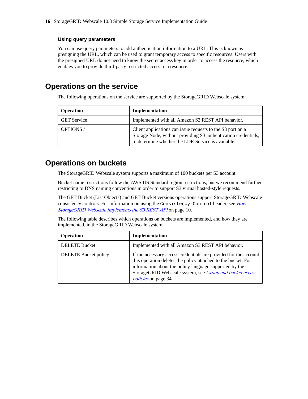### <span id="page-15-0"></span>**Using query parameters**

You can use query parameters to add authentication information to a URL. This is known as presigning the URL, which can be used to grant temporary access to specific resources. Users with the presigned URL do not need to know the secret access key in order to access the resource, which enables you to provide third-party restricted access to a resource.

# **Operations on the service**

The following operations on the service are supported by the StorageGRID Webscale system:

| <b>Operation</b>   | Implementation                                                                                                                                                                     |
|--------------------|------------------------------------------------------------------------------------------------------------------------------------------------------------------------------------|
| <b>GET Service</b> | Implemented with all Amazon S3 REST API behavior.                                                                                                                                  |
| <b>OPTIONS</b> /   | Client applications can issue requests to the S3 port on a<br>Storage Node, without providing S3 authentication credentials,<br>to determine whether the LDR Service is available. |

# **Operations on buckets**

The StorageGRID Webscale system supports a maximum of 100 buckets per S3 account.

Bucket name restrictions follow the AWS US Standard region restrictions, but we recommend further restricting to DNS naming conventions in order to support S3 virtual hosted-style requests.

The GET Bucket (List Objects) and GET Bucket versions operations support StorageGRID Webscale consistency controls. For information on using the Consistency-Control header, see [How](#page-9-0) [StorageGRID Webscale implements the S3 REST API](#page-9-0) on page 10.

The following table describes which operations on buckets are implemented, and how they are implemented, in the StorageGRID Webscale system.

| <b>Operation</b>            | Implementation                                                                                                                                                                                                                                                                          |
|-----------------------------|-----------------------------------------------------------------------------------------------------------------------------------------------------------------------------------------------------------------------------------------------------------------------------------------|
| <b>DELETE Bucket</b>        | Implemented with all Amazon S3 REST API behavior.                                                                                                                                                                                                                                       |
| <b>DELETE</b> Bucket policy | If the necessary access credentials are provided for the account,<br>this operation deletes the policy attached to the bucket. For<br>information about the policy language supported by the<br>StorageGRID Webscale system, see Group and bucket access<br><i>policies</i> on page 34. |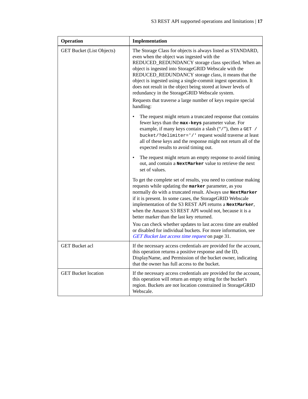| Operation                        | Implementation                                                                                                                                                                                                                                                                                                                                                                                                                                                                                                                                     |
|----------------------------------|----------------------------------------------------------------------------------------------------------------------------------------------------------------------------------------------------------------------------------------------------------------------------------------------------------------------------------------------------------------------------------------------------------------------------------------------------------------------------------------------------------------------------------------------------|
| <b>GET Bucket (List Objects)</b> | The Storage Class for objects is always listed as STANDARD,<br>even when the object was ingested with the<br>REDUCED_REDUNDANCY storage class specified. When an<br>object is ingested into StorageGRID Webscale with the<br>REDUCED_REDUNDANCY storage class, it means that the<br>object is ingested using a single-commit ingest operation. It<br>does not result in the object being stored at lower levels of<br>redundancy in the StorageGRID Webscale system.<br>Requests that traverse a large number of keys require special<br>handling: |
|                                  | The request might return a truncated response that contains<br>fewer keys than the max-keys parameter value. For<br>example, if many keys contain a slash ("/"), then a GET /<br>bucket/?delimiter='/' request would traverse at least<br>all of these keys and the response might not return all of the<br>expected results to avoid timing out.                                                                                                                                                                                                  |
|                                  | The request might return an empty response to avoid timing<br>out, and contain a NextMarker value to retrieve the next<br>set of values.                                                                                                                                                                                                                                                                                                                                                                                                           |
|                                  | To get the complete set of results, you need to continue making<br>requests while updating the marker parameter, as you<br>normally do with a truncated result. Always use NextMarker<br>if it is present. In some cases, the StorageGRID Webscale<br>implementation of the S3 REST API returns a NextMarker,<br>when the Amazon S3 REST API would not, because it is a<br>better marker than the last key returned.                                                                                                                               |
|                                  | You can check whether updates to last access time are enabled<br>or disabled for individual buckets. For more information, see<br>GET Bucket last access time request on page 31.                                                                                                                                                                                                                                                                                                                                                                  |
| <b>GET Bucket acl</b>            | If the necessary access credentials are provided for the account,<br>this operation returns a positive response and the ID,<br>DisplayName, and Permission of the bucket owner, indicating<br>that the owner has full access to the bucket.                                                                                                                                                                                                                                                                                                        |
| <b>GET</b> Bucket location       | If the necessary access credentials are provided for the account,<br>this operation will return an empty string for the bucket's<br>region. Buckets are not location constrained in StorageGRID<br>Webscale.                                                                                                                                                                                                                                                                                                                                       |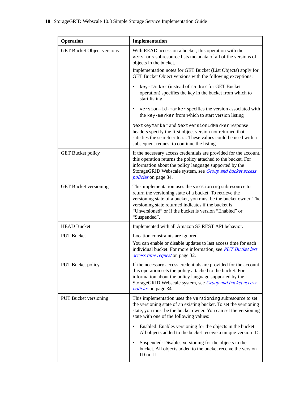| Operation                         | Implementation                                                                                                                                                                                                                                                                                                          |
|-----------------------------------|-------------------------------------------------------------------------------------------------------------------------------------------------------------------------------------------------------------------------------------------------------------------------------------------------------------------------|
| <b>GET Bucket Object versions</b> | With READ access on a bucket, this operation with the<br>versions subresource lists metadata of all of the versions of<br>objects in the bucket.                                                                                                                                                                        |
|                                   | Implementation notes for GET Bucket (List Objects) apply for<br>GET Bucket Object versions with the following exceptions:                                                                                                                                                                                               |
|                                   | key-marker (instead of marker for GET Bucket<br>operation) specifies the key in the bucket from which to<br>start listing                                                                                                                                                                                               |
|                                   | version-id-marker specifies the version associated with<br>$\bullet$<br>the key-marker from which to start version listing                                                                                                                                                                                              |
|                                   | NextKeyMarker and NextVersionIdMarker response<br>headers specify the first object version not returned that<br>satisfies the search criteria. These values could be used with a<br>subsequent request to continue the listing.                                                                                         |
| <b>GET Bucket policy</b>          | If the necessary access credentials are provided for the account,<br>this operation returns the policy attached to the bucket. For<br>information about the policy language supported by the<br>StorageGRID Webscale system, see Group and bucket access<br><i>policies</i> on page 34.                                 |
| <b>GET Bucket versioning</b>      | This implementation uses the versioning subresource to<br>return the versioning state of a bucket. To retrieve the<br>versioning state of a bucket, you must be the bucket owner. The<br>versioning state returned indicates if the bucket is<br>"Unversioned" or if the bucket is version "Enabled" or<br>"Suspended". |
| <b>HEAD Bucket</b>                | Implemented with all Amazon S3 REST API behavior.                                                                                                                                                                                                                                                                       |
| <b>PUT Bucket</b>                 | Location constraints are ignored.                                                                                                                                                                                                                                                                                       |
|                                   | You can enable or disable updates to last access time for each<br>individual bucket. For more information, see PUT Bucket last<br>access time request on page 32.                                                                                                                                                       |
| <b>PUT Bucket policy</b>          | If the necessary access credentials are provided for the account,<br>this operation sets the policy attached to the bucket. For<br>information about the policy language supported by the<br>StorageGRID Webscale system, see Group and bucket access<br><i>policies</i> on page 34.                                    |
| <b>PUT Bucket versioning</b>      | This implementation uses the versioning subresource to set<br>the versioning state of an existing bucket. To set the versioning<br>state, you must be the bucket owner. You can set the versioning<br>state with one of the following values:                                                                           |
|                                   | Enabled: Enables versioning for the objects in the bucket.<br>٠<br>All objects added to the bucket receive a unique version ID.                                                                                                                                                                                         |
|                                   | Suspended: Disables versioning for the objects in the<br>bucket. All objects added to the bucket receive the version<br>ID null.                                                                                                                                                                                        |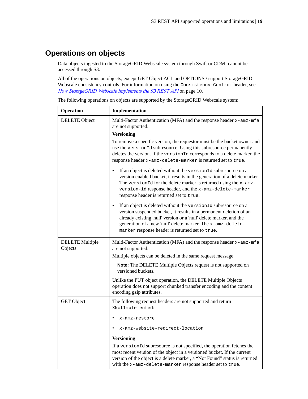# <span id="page-18-0"></span>**Operations on objects**

Data objects ingested to the StorageGRID Webscale system through Swift or CDMI cannot be accessed through S3.

All of the operations on objects, except GET Object ACL and OPTIONS / support StorageGRID Webscale consistency controls. For information on using the Consistency-Control header, see [How StorageGRID Webscale implements the S3 REST API](#page-9-0) on page 10.

| Operation                         | Implementation                                                                                                                                                                                                                                                                                                                             |  |
|-----------------------------------|--------------------------------------------------------------------------------------------------------------------------------------------------------------------------------------------------------------------------------------------------------------------------------------------------------------------------------------------|--|
| DELETE Object                     | Multi-Factor Authentication (MFA) and the response header x-amz-mfa<br>are not supported.                                                                                                                                                                                                                                                  |  |
|                                   | <b>Versioning</b>                                                                                                                                                                                                                                                                                                                          |  |
|                                   | To remove a specific version, the requestor must be the bucket owner and<br>use the version1d subresource. Using this subresource permanently<br>deletes the version. If the versionId corresponds to a delete marker, the<br>response header x-amz-delete-marker is returned set to true.                                                 |  |
|                                   | If an object is deleted without the versionId subresource on a<br>٠<br>version enabled bucket, it results in the generation of a delete marker.<br>The versionId for the delete marker is returned using the x-amz-<br>version-id response header, and the x-amz-delete-marker<br>response header is returned set to true.                 |  |
|                                   | If an object is deleted without the version Id subresource on a<br>$\bullet$<br>version suspended bucket, it results in a permanent deletion of an<br>already existing 'null' version or a 'null' delete marker, and the<br>generation of a new 'null' delete marker. The x-amz-delete-<br>marker response header is returned set to true. |  |
| <b>DELETE</b> Multiple<br>Objects | Multi-Factor Authentication (MFA) and the response header x-amz-mfa<br>are not supported.                                                                                                                                                                                                                                                  |  |
|                                   | Multiple objects can be deleted in the same request message.                                                                                                                                                                                                                                                                               |  |
|                                   | Note: The DELETE Multiple Objects request is not supported on<br>versioned buckets.                                                                                                                                                                                                                                                        |  |
|                                   | Unlike the PUT object operation, the DELETE Multiple Objects<br>operation does not support chunked transfer encoding and the content<br>encoding gzip attributes.                                                                                                                                                                          |  |
| <b>GET</b> Object                 | The following request headers are not supported and return<br>XNotImplemented:                                                                                                                                                                                                                                                             |  |
|                                   | x-amz-restore                                                                                                                                                                                                                                                                                                                              |  |
|                                   | x-amz-website-redirect-location                                                                                                                                                                                                                                                                                                            |  |
|                                   | <b>Versioning</b>                                                                                                                                                                                                                                                                                                                          |  |
|                                   | If a versionId subresource is not specified, the operation fetches the<br>most recent version of the object in a versioned bucket. If the current<br>version of the object is a delete marker, a "Not Found" status is returned<br>with the x-amz-delete-marker response header set to true.                                               |  |

The following operations on objects are supported by the StorageGRID Webscale system: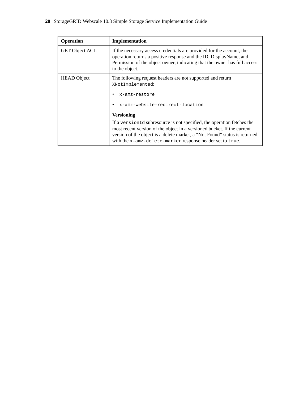# **20** | StorageGRID Webscale 10.3 Simple Storage Service Implementation Guide

| <b>Operation</b>      | Implementation                                                                                                                                                                                                                                                                                |
|-----------------------|-----------------------------------------------------------------------------------------------------------------------------------------------------------------------------------------------------------------------------------------------------------------------------------------------|
| <b>GET Object ACL</b> | If the necessary access credentials are provided for the account, the<br>operation returns a positive response and the ID, DisplayName, and<br>Permission of the object owner, indicating that the owner has full access<br>to the object.                                                    |
| <b>HEAD</b> Object    | The following request headers are not supported and return<br>XNotImplemented:<br>x-amz-restore<br>x-amz-website-redirect-location<br><b>Versioning</b>                                                                                                                                       |
|                       | If a version Id subresource is not specified, the operation fetches the<br>most recent version of the object in a versioned bucket. If the current<br>version of the object is a delete marker, a "Not Found" status is returned<br>with the x-amz-delete-marker response header set to true. |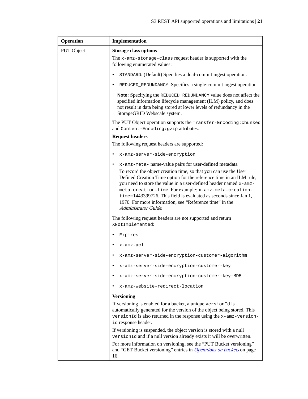| Operation  | Implementation                                                                                                                                                                                                                                                                                                                                                                                                               |  |
|------------|------------------------------------------------------------------------------------------------------------------------------------------------------------------------------------------------------------------------------------------------------------------------------------------------------------------------------------------------------------------------------------------------------------------------------|--|
| PUT Object | <b>Storage class options</b>                                                                                                                                                                                                                                                                                                                                                                                                 |  |
|            | The x-amz-storage-class request header is supported with the<br>following enumerated values:                                                                                                                                                                                                                                                                                                                                 |  |
|            | STANDARD: (Default) Specifies a dual-commit ingest operation.<br>$\bullet$                                                                                                                                                                                                                                                                                                                                                   |  |
|            | REDUCED_REDUNDANCY: Specifies a single-commit ingest operation.<br>٠                                                                                                                                                                                                                                                                                                                                                         |  |
|            | <b>Note:</b> Specifying the REDUCED_REDUNDANCY value does not affect the<br>specified information lifecycle management (ILM) policy, and does<br>not result in data being stored at lower levels of redundancy in the<br>StorageGRID Webscale system.                                                                                                                                                                        |  |
|            | The PUT Object operation supports the Transfer-Encoding: chunked<br>and Content-Encoding: gzip attributes.                                                                                                                                                                                                                                                                                                                   |  |
|            | <b>Request headers</b>                                                                                                                                                                                                                                                                                                                                                                                                       |  |
|            | The following request headers are supported:                                                                                                                                                                                                                                                                                                                                                                                 |  |
|            | x-amz-server-side-encryption<br>٠                                                                                                                                                                                                                                                                                                                                                                                            |  |
|            | x-amz-meta- name-value pairs for user-defined metadata<br>$\bullet$                                                                                                                                                                                                                                                                                                                                                          |  |
|            | To record the object creation time, so that you can use the User<br>Defined Creation Time option for the reference time in an ILM rule,<br>you need to store the value in a user-defined header named x-amz-<br>meta-creation-time. For example: x-amz-meta-creation-<br>time=1443399726. This field is evaluated as seconds since Jan 1,<br>1970. For more information, see "Reference time" in the<br>Administrator Guide. |  |
|            | The following request headers are not supported and return<br>XNotImplemented:                                                                                                                                                                                                                                                                                                                                               |  |
|            | Expires<br>٠                                                                                                                                                                                                                                                                                                                                                                                                                 |  |
|            | x-amz-acl                                                                                                                                                                                                                                                                                                                                                                                                                    |  |
|            | x-amz-server-side-encryption-customer-algorithm<br>٠                                                                                                                                                                                                                                                                                                                                                                         |  |
|            | x-amz-server-side-encryption-customer-key                                                                                                                                                                                                                                                                                                                                                                                    |  |
|            | x-amz-server-side-encryption-customer-key-MD5                                                                                                                                                                                                                                                                                                                                                                                |  |
|            | x-amz-website-redirect-location                                                                                                                                                                                                                                                                                                                                                                                              |  |
|            | <b>Versioning</b>                                                                                                                                                                                                                                                                                                                                                                                                            |  |
|            | If versioning is enabled for a bucket, a unique versionId is<br>automatically generated for the version of the object being stored. This<br>versionId is also returned in the response using the x-amz-version-<br>id response header.                                                                                                                                                                                       |  |
|            | If versioning is suspended, the object version is stored with a null<br>versionId and if a null version already exists it will be overwritten.                                                                                                                                                                                                                                                                               |  |
|            | For more information on versioning, see the "PUT Bucket versioning"<br>and "GET Bucket versioning" entries in <i>Operations on buckets</i> on page<br>16.                                                                                                                                                                                                                                                                    |  |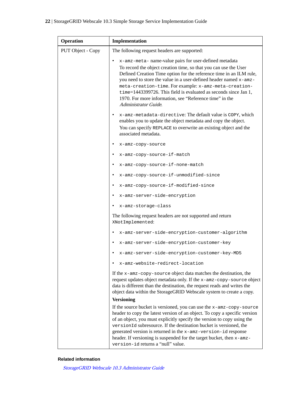| <b>Operation</b>  | Implementation                                                                                                                                                                                                                                                                                                                                                                                                                                                                              |
|-------------------|---------------------------------------------------------------------------------------------------------------------------------------------------------------------------------------------------------------------------------------------------------------------------------------------------------------------------------------------------------------------------------------------------------------------------------------------------------------------------------------------|
| PUT Object - Copy | The following request headers are supported:                                                                                                                                                                                                                                                                                                                                                                                                                                                |
|                   | x-amz-meta- name-value pairs for user-defined metadata<br>٠<br>To record the object creation time, so that you can use the User<br>Defined Creation Time option for the reference time in an ILM rule,<br>you need to store the value in a user-defined header named x-amz-<br>meta-creation-time. For example: x-amz-meta-creation-<br>time=1443399726. This field is evaluated as seconds since Jan 1,<br>1970. For more information, see "Reference time" in the<br>Administrator Guide. |
|                   | x-amz-metadata-directive: The default value is COPY, which<br>$\bullet$<br>enables you to update the object metadata and copy the object.<br>You can specify REPLACE to overwrite an existing object and the<br>associated metadata.                                                                                                                                                                                                                                                        |
|                   | ٠<br>x-amz-copy-source                                                                                                                                                                                                                                                                                                                                                                                                                                                                      |
|                   | x-amz-copy-source-if-match                                                                                                                                                                                                                                                                                                                                                                                                                                                                  |
|                   | x-amz-copy-source-if-none-match<br>$\bullet$                                                                                                                                                                                                                                                                                                                                                                                                                                                |
|                   | x-amz-copy-source-if-unmodified-since<br>٠                                                                                                                                                                                                                                                                                                                                                                                                                                                  |
|                   | x-amz-copy-source-if-modified-since<br>٠                                                                                                                                                                                                                                                                                                                                                                                                                                                    |
|                   | x-amz-server-side-encryption<br>$\bullet$                                                                                                                                                                                                                                                                                                                                                                                                                                                   |
|                   | x-amz-storage-class<br>٠                                                                                                                                                                                                                                                                                                                                                                                                                                                                    |
|                   | The following request headers are not supported and return<br>XNotImplemented:                                                                                                                                                                                                                                                                                                                                                                                                              |
|                   | x-amz-server-side-encryption-customer-algorithm<br>٠                                                                                                                                                                                                                                                                                                                                                                                                                                        |
|                   | x-amz-server-side-encryption-customer-key<br>٠                                                                                                                                                                                                                                                                                                                                                                                                                                              |
|                   | x-amz-server-side-encryption-customer-key-MD5                                                                                                                                                                                                                                                                                                                                                                                                                                               |
|                   | x-amz-website-redirect-location                                                                                                                                                                                                                                                                                                                                                                                                                                                             |
|                   | If the $x$ -amz-copy-source object data matches the destination, the<br>request updates object metadata only. If the x-amz-copy-source object<br>data is different than the destination, the request reads and writes the<br>object data within the StorageGRID Webscale system to create a copy.<br><b>Versioning</b>                                                                                                                                                                      |
|                   | If the source bucket is versioned, you can use the $x$ -amz-copy-source<br>header to copy the latest version of an object. To copy a specific version<br>of an object, you must explicitly specify the version to copy using the<br>version1d subresource. If the destination bucket is versioned, the<br>generated version is returned in the x-amz-version-id response<br>header. If versioning is suspended for the target bucket, then x-amz-<br>version-id returns a "null" value.     |

### **Related information**

[StorageGRID Webscale 10.3 Administrator Guide](https://library.netapp.com/ecm/ecm_download_file/ECMLP2411995)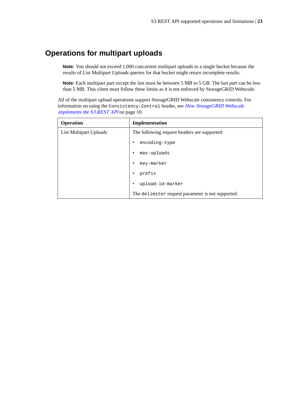# <span id="page-22-0"></span>**Operations for multipart uploads**

**Note:** You should not exceed 1,000 concurrent multipart uploads to a single bucket because the results of List Multipart Uploads queries for that bucket might return incomplete results.

**Note:** Each multipart part except the last must be between 5 MB to 5 GB. The last part can be less than 5 MB. This client must follow these limits as it is not enforced by StorageGRID Webscale.

All of the multipart upload operations support StorageGRID Webscale consistency controls. For information on using the Consistency-Control header, see [How StorageGRID Webscale](#page-9-0) [implements the S3 REST API](#page-9-0) on page 10.

| <b>Operation</b>       | Implementation                                    |  |
|------------------------|---------------------------------------------------|--|
| List Multipart Uploads | The following request headers are supported:      |  |
|                        | encoding-type                                     |  |
|                        | max-uploads<br>٠                                  |  |
|                        | key-marker                                        |  |
|                        | prefix<br>٠                                       |  |
|                        | upload-id-marker                                  |  |
|                        | The delimiter request parameter is not supported. |  |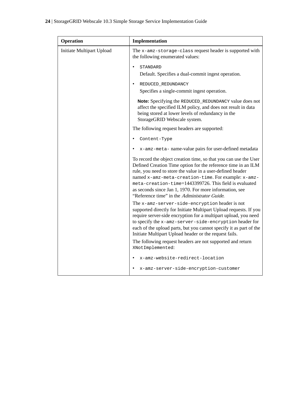| Operation                 | Implementation                                                                                                                                                                                                                                                                                                                                                                                                              |
|---------------------------|-----------------------------------------------------------------------------------------------------------------------------------------------------------------------------------------------------------------------------------------------------------------------------------------------------------------------------------------------------------------------------------------------------------------------------|
| Initiate Multipart Upload | The x-amz-storage-class request header is supported with<br>the following enumerated values:                                                                                                                                                                                                                                                                                                                                |
|                           | STANDARD<br>Default. Specifies a dual-commit ingest operation.                                                                                                                                                                                                                                                                                                                                                              |
|                           | REDUCED_REDUNDANCY<br>Specifies a single-commit ingest operation.                                                                                                                                                                                                                                                                                                                                                           |
|                           | Note: Specifying the REDUCED_REDUNDANCY value does not<br>affect the specified ILM policy, and does not result in data<br>being stored at lower levels of redundancy in the<br>StorageGRID Webscale system.                                                                                                                                                                                                                 |
|                           | The following request headers are supported:                                                                                                                                                                                                                                                                                                                                                                                |
|                           | Content-Type                                                                                                                                                                                                                                                                                                                                                                                                                |
|                           | x-amz-meta- name-value pairs for user-defined metadata                                                                                                                                                                                                                                                                                                                                                                      |
|                           | To record the object creation time, so that you can use the User<br>Defined Creation Time option for the reference time in an ILM<br>rule, you need to store the value in a user-defined header<br>named x-amz-meta-creation-time. For example: x-amz-<br>meta-creation-time=1443399726. This field is evaluated<br>as seconds since Jan 1, 1970. For more information, see<br>"Reference time" in the Administrator Guide. |
|                           | The x-amz-server-side-encryption header is not<br>supported directly for Initiate Multipart Upload requests. If you<br>require server-side encryption for a multipart upload, you need<br>to specify the x-amz-server-side-encryption header for<br>each of the upload parts, but you cannot specify it as part of the<br>Initiate Multipart Upload header or the request fails.                                            |
|                           | The following request headers are not supported and return                                                                                                                                                                                                                                                                                                                                                                  |
|                           | XNotImplemented:<br>x-amz-website-redirect-location                                                                                                                                                                                                                                                                                                                                                                         |
|                           |                                                                                                                                                                                                                                                                                                                                                                                                                             |
|                           | x-amz-server-side-encryption-customer                                                                                                                                                                                                                                                                                                                                                                                       |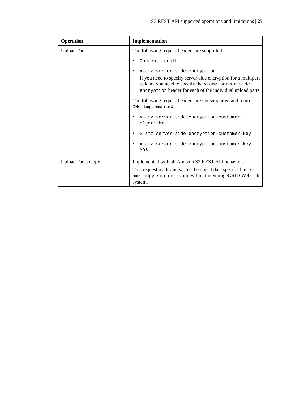| <b>Operation</b>          | Implementation                                                                                                                                                                                                    |  |
|---------------------------|-------------------------------------------------------------------------------------------------------------------------------------------------------------------------------------------------------------------|--|
| <b>Upload Part</b>        | The following request headers are supported:                                                                                                                                                                      |  |
|                           | Content-Length                                                                                                                                                                                                    |  |
|                           | x-amz-server-side-encryption<br>If you need to specify server-side encryption for a multipart<br>upload, you need to specify the x-amz-server-side-<br>encryption header for each of the individual upload parts. |  |
|                           | The following request headers are not supported and return<br>XNotImplemented:                                                                                                                                    |  |
|                           | x-amz-server-side-encryption-customer-<br>algorithm                                                                                                                                                               |  |
|                           | x-amz-server-side-encryption-customer-key<br>٠                                                                                                                                                                    |  |
|                           | x-amz-server-side-encryption-customer-key-<br>MD <sub>5</sub>                                                                                                                                                     |  |
| <b>Upload Part - Copy</b> | Implemented with all Amazon S3 REST API behavior.                                                                                                                                                                 |  |
|                           | This request reads and writes the object data specified in $x$ -<br>amz-copy-source-range within the StorageGRID Webscale<br>system.                                                                              |  |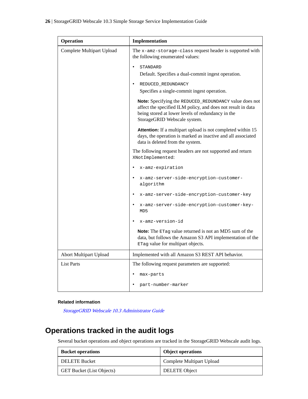<span id="page-25-0"></span>

| Operation                     | Implementation                                                                                                                                                                                              |  |
|-------------------------------|-------------------------------------------------------------------------------------------------------------------------------------------------------------------------------------------------------------|--|
| Complete Multipart Upload     | The x-amz-storage-class request header is supported with<br>the following enumerated values:                                                                                                                |  |
|                               | STANDARD<br>$\bullet$<br>Default. Specifies a dual-commit ingest operation.                                                                                                                                 |  |
|                               | REDUCED_REDUNDANCY<br>Specifies a single-commit ingest operation.                                                                                                                                           |  |
|                               | Note: Specifying the REDUCED_REDUNDANCY value does not<br>affect the specified ILM policy, and does not result in data<br>being stored at lower levels of redundancy in the<br>StorageGRID Webscale system. |  |
|                               | Attention: If a multipart upload is not completed within 15<br>days, the operation is marked as inactive and all associated<br>data is deleted from the system.                                             |  |
|                               | The following request headers are not supported and return<br>XNotImplemented:                                                                                                                              |  |
|                               | x-amz-expiration<br>$\bullet$                                                                                                                                                                               |  |
|                               | x-amz-server-side-encryption-customer-<br>algorithm                                                                                                                                                         |  |
|                               | x-amz-server-side-encryption-customer-key                                                                                                                                                                   |  |
|                               | x-amz-server-side-encryption-customer-key-<br>MD <sub>5</sub>                                                                                                                                               |  |
|                               | x-amz-version-id                                                                                                                                                                                            |  |
|                               | <b>Note:</b> The ETag value returned is not an MD5 sum of the<br>data, but follows the Amazon S3 API implementation of the<br>ETag value for multipart objects.                                             |  |
| <b>Abort Multipart Upload</b> | Implemented with all Amazon S3 REST API behavior.                                                                                                                                                           |  |
| <b>List Parts</b>             | The following request parameters are supported:                                                                                                                                                             |  |
|                               | max-parts                                                                                                                                                                                                   |  |
|                               | part-number-marker                                                                                                                                                                                          |  |

### **Related information**

[StorageGRID Webscale 10.3 Administrator Guide](https://library.netapp.com/ecm/ecm_download_file/ECMLP2411995)

# **Operations tracked in the audit logs**

Several bucket operations and object operations are tracked in the StorageGRID Webscale audit logs.

| <b>Bucket operations</b>         | <b>Object operations</b>  |
|----------------------------------|---------------------------|
| DELETE Bucket                    | Complete Multipart Upload |
| <b>GET Bucket (List Objects)</b> | DELETE Object             |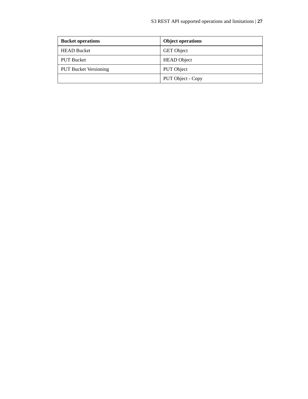| <b>Bucket operations</b>     | <b>Object operations</b> |
|------------------------------|--------------------------|
| <b>HEAD Bucket</b>           | <b>GET</b> Object        |
| <b>PUT Bucket</b>            | <b>HEAD</b> Object       |
| <b>PUT Bucket Versioning</b> | PUT Object               |
|                              | PUT Object - Copy        |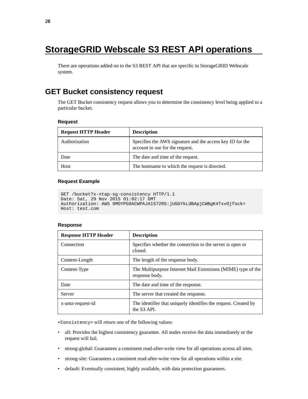# <span id="page-27-0"></span>**StorageGRID Webscale S3 REST API operations**

There are operations added on to the S3 REST API that are specific to StorageGRID Webscale system.

# **GET Bucket consistency request**

The GET Bucket consistency request allows you to determine the consistency level being applied to a particular bucket.

### **Request**

| <b>Request HTTP Header</b> | <b>Description</b>                                                                           |
|----------------------------|----------------------------------------------------------------------------------------------|
| Authorization              | Specifies the AWS signature and the access key ID for the<br>account to use for the request. |
| Date                       | The date and time of the request.                                                            |
| Host                       | The hostname to which the request is directed.                                               |

### **Request Example**

```
GET /bucket?x-ntap-sg-consistency HTTP/1.1
Date: Sat, 29 Nov 2015 01:02:17 GMT
Authorization: AWS 9MOYPG9ACWPAJA1S72R5:jUGbYkLdBApjCWBgK4TxvOjfock=
Host: test.com
```
### **Response**

| <b>Response HTTP Header</b> | <b>Description</b>                                                                         |
|-----------------------------|--------------------------------------------------------------------------------------------|
| Connection                  | Specifies whether the connection to the server is open or<br>closed.                       |
| Content-Length              | The length of the response body.                                                           |
| Content-Type                | The Multipurpose Internet Mail Extensions (MIME) type of the<br>response body.             |
| Date                        | The date and time of the response.                                                         |
| Server                      | The server that created the response.                                                      |
| x-amz-request-id            | The identifier that uniquely identifies the request. Created by<br>the S <sub>3</sub> API. |

<Consistency> will return one of the following values:

- all: Provides the highest consistency guarantee. All nodes receive the data immediately or the request will fail.
- strong-global: Guarantees a consistent read-after-write view for all operations across all sites.
- strong-site: Guarantees a consistent read-after-write view for all operations within a site.
- default: Eventually consistent, highly available, with data protection guarantees.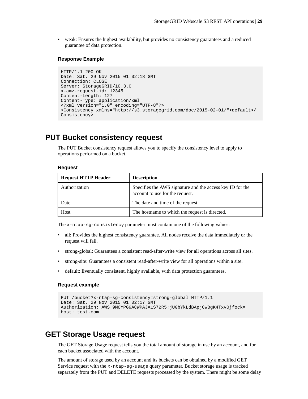<span id="page-28-0"></span>• weak: Ensures the highest availability, but provides no consistency guarantees and a reduced guarantee of data protection.

### **Response Example**

```
HTTP/1.1 200 OK
Date: Sat, 29 Nov 2015 01:02:18 GMT
Connection: CLOSE
Server: StorageGRID/10.3.0
x-amz-request-id: 12345
Content-Length: 127
Content-Type: application/xml
<?xml version="1.0" encoding="UTF-8"?>
<Consistency xmlns="http://s3.storagegrid.com/doc/2015-02-01/">default</
Consistency>
```
# **PUT Bucket consistency request**

The PUT Bucket consistency request allows you to specify the consistency level to apply to operations performed on a bucket.

#### **Request**

| <b>Request HTTP Header</b> | <b>Description</b>                                                                           |
|----------------------------|----------------------------------------------------------------------------------------------|
| Authorization              | Specifies the AWS signature and the access key ID for the<br>account to use for the request. |
| Date                       | The date and time of the request.                                                            |
| Host                       | The hostname to which the request is directed.                                               |

The x-ntap-sg-consistency parameter must contain one of the following values:

- all: Provides the highest consistency guarantee. All nodes receive the data immediately or the request will fail.
- strong-global: Guarantees a consistent read-after-write view for all operations across all sites.
- strong-site: Guarantees a consistent read-after-write view for all operations within a site.
- default: Eventually consistent, highly available, with data protection guarantees.

### **Request example**

```
PUT /bucket?x-ntap-sg-consistency=strong-global HTTP/1.1
Date: Sat, 29 Nov 2015 01:02:17 GMT
Authorization: AWS 9MOYPG9ACWPAJA1S72R5:jUGbYkLdBApjCWBgK4TxvOjfock=
Host: test.com
```
# **GET Storage Usage request**

The GET Storage Usage request tells you the total amount of storage in use by an account, and for each bucket associated with the account.

The amount of storage used by an account and its buckets can be obtained by a modified GET Service request with the x-ntap-sg-usage query parameter. Bucket storage usage is tracked separately from the PUT and DELETE requests processed by the system. There might be some delay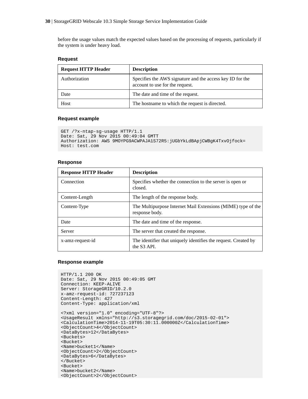before the usage values match the expected values based on the processing of requests, particularly if the system is under heavy load.

### **Request**

| <b>Request HTTP Header</b> | <b>Description</b>                                                                           |
|----------------------------|----------------------------------------------------------------------------------------------|
| Authorization              | Specifies the AWS signature and the access key ID for the<br>account to use for the request. |
| Date                       | The date and time of the request.                                                            |
| Host                       | The hostname to which the request is directed.                                               |

### **Request example**

```
GET /?x-ntap-sg-usage HTTP/1.1
Date: Sat, 29 Nov 2015 00:49:04 GMTT
Authorization: AWS 9MOYPG9ACWPAJA1S72R5:jUGbYkLdBApjCWBgK4TxvOjfock=
Host: test.com
```
#### **Response**

| <b>Response HTTP Header</b> | <b>Description</b>                                                                         |
|-----------------------------|--------------------------------------------------------------------------------------------|
| Connection                  | Specifies whether the connection to the server is open or<br>closed.                       |
| Content-Length              | The length of the response body.                                                           |
| Content-Type                | The Multipurpose Internet Mail Extensions (MIME) type of the<br>response body.             |
| Date                        | The date and time of the response.                                                         |
| Server                      | The server that created the response.                                                      |
| x-amz-request-id            | The identifier that uniquely identifies the request. Created by<br>the S <sub>3</sub> API. |

#### **Response example**

```
HTTP/1.1 200 OK
Date: Sat, 29 Nov 2015 00:49:05 GMT
Connection: KEEP-ALIVE
Server: StorageGRID/10.2.0
x-amz-request-id: 727237123
Content-Length: 427
Content-Type: application/xml
<?xml version="1.0" encoding="UTF-8"?>
<UsageResult xmlns="http://s3.storagegrid.com/doc/2015-02-01">
<CalculationTime>2014-11-19T05:30:11.000000Z</CalculationTime>
<ObjectCount>4</ObjectCount>
<DataBytes>12</DataBytes>
<Buckets>
<Bucket>
<Name>bucket1</Name>
<ObjectCount>2</ObjectCount>
<DataBytes>6</DataBytes>
</Bucket>
<Bucket>
<Name>bucket2</Name>
<ObjectCount>2</ObjectCount>
```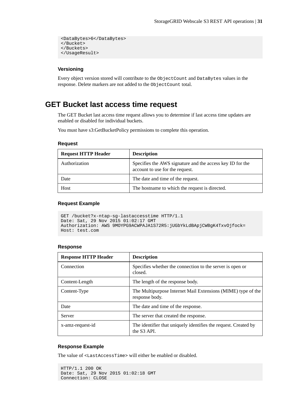```
<DataBytes>6</DataBytes>
</Bucket>
</Buckets>
</UsageResult>
```
### **Versioning**

Every object version stored will contribute to the ObjectCount and DataBytes values in the response. Delete markers are not added to the ObjectCount total.

# **GET Bucket last access time request**

The GET Bucket last access time request allows you to determine if last access time updates are enabled or disabled for individual buckets.

You must have s3:GetBucketPolicy permissions to complete this operation.

### **Request**

| <b>Request HTTP Header</b> | <b>Description</b>                                                                           |
|----------------------------|----------------------------------------------------------------------------------------------|
| Authorization              | Specifies the AWS signature and the access key ID for the<br>account to use for the request. |
| Date                       | The date and time of the request.                                                            |
| Host                       | The hostname to which the request is directed.                                               |

### **Request Example**

```
GET /bucket?x-ntap-sg-lastaccesstime HTTP/1.1
Date: Sat, 29 Nov 2015 01:02:17 GMT
Authorization: AWS 9MOYPG9ACWPAJA1S72R5:jUGbYkLdBApjCWBgK4TxvOjfock=
Host: test.com
```
### **Response**

| <b>Response HTTP Header</b> | <b>Description</b>                                                                         |
|-----------------------------|--------------------------------------------------------------------------------------------|
| Connection                  | Specifies whether the connection to the server is open or<br>closed.                       |
| Content-Length              | The length of the response body.                                                           |
| Content-Type                | The Multipurpose Internet Mail Extensions (MIME) type of the<br>response body.             |
| Date                        | The date and time of the response.                                                         |
| Server                      | The server that created the response.                                                      |
| x-amz-request-id            | The identifier that uniquely identifies the request. Created by<br>the S <sub>3</sub> API. |

### **Response Example**

The value of <LastAccessTime> will either be enabled or disabled.

```
HTTP/1.1 200 OK
Date: Sat, 29 Nov 2015 01:02:18 GMT
Connection: CLOSE
```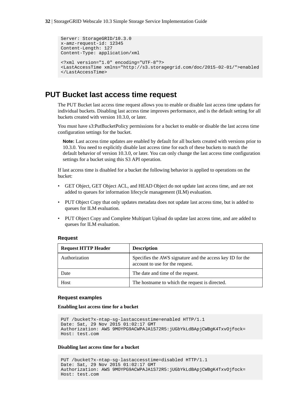```
Server: StorageGRID/10.3.0
x-amz-request-id: 12345
Content-Length: 127
Content-Type: application/xml
<?xml version="1.0" encoding="UTF-8"?>
<LastAccessTime xmlns="http://s3.storagegrid.com/doc/2015-02-01/">enabled
</LastAccessTime>
```
# **PUT Bucket last access time request**

The PUT Bucket last access time request allows you to enable or disable last access time updates for individual buckets. Disabling last access time improves performance, and is the default setting for all buckets created with version 10.3.0, or later.

You must have s3:PutBucketPolicy permissions for a bucket to enable or disable the last access time configuration settings for the bucket.

**Note:** Last access time updates are enabled by default for all buckets created with versions prior to 10.3.0. You need to explicitly disable last access time for each of these buckets to match the default behavior of version 10.3.0, or later. You can only change the last access time configuration settings for a bucket using this S3 API operation.

If last access time is disabled for a bucket the following behavior is applied to operations on the bucket:

- GET Object, GET Object ACL, and HEAD Object do not update last access time, and are not added to queues for information lifecycle management (ILM) evaluation.
- PUT Object Copy that only updates metadata does not update last access time, but is added to queues for ILM evaluation.
- PUT Object Copy and Complete Multipart Upload do update last access time, and are added to queues for ILM evaluation.

### **Request**

| <b>Request HTTP Header</b> | <b>Description</b>                                                                           |
|----------------------------|----------------------------------------------------------------------------------------------|
| Authorization              | Specifies the AWS signature and the access key ID for the<br>account to use for the request. |
| Date                       | The date and time of the request.                                                            |
| Host                       | The hostname to which the request is directed.                                               |

### **Request examples**

**Enabling last access time for a bucket**

```
PUT /bucket?x-ntap-sg-lastaccesstime=enabled HTTP/1.1
Date: Sat, 29 Nov 2015 01:02:17 GMT
Authorization: AWS 9MOYPG9ACWPAJA1S72R5:jUGbYkLdBApjCWBgK4TxvOjfock=
Host: test.com
```
**Disabling last access time for a bucket**

```
PUT /bucket?x-ntap-sg-lastaccesstime=disabled HTTP/1.1
Date: Sat, 29 Nov 2015 01:02:17 GMT
Authorization: AWS 9MOYPG9ACWPAJA1S72R5:jUGbYkLdBApjCWBgK4TxvOjfock=
Host: test.com
```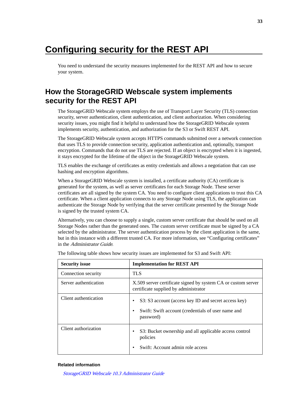# <span id="page-32-0"></span>**Configuring security for the REST API**

You need to understand the security measures implemented for the REST API and how to secure your system.

# **How the StorageGRID Webscale system implements security for the REST API**

The StorageGRID Webscale system employs the use of Transport Layer Security (TLS) connection security, server authentication, client authentication, and client authorization. When considering security issues, you might find it helpful to understand how the StorageGRID Webscale system implements security, authentication, and authorization for the S3 or Swift REST API.

The StorageGRID Webscale system accepts HTTPS commands submitted over a network connection that uses TLS to provide connection security, application authentication and, optionally, transport encryption. Commands that do not use TLS are rejected. If an object is encrypted when it is ingested, it stays encrypted for the lifetime of the object in the StorageGRID Webscale system.

TLS enables the exchange of certificates as entity credentials and allows a negotiation that can use hashing and encryption algorithms.

When a StorageGRID Webscale system is installed, a certificate authority (CA) certificate is generated for the system, as well as server certificates for each Storage Node. These server certificates are all signed by the system CA. You need to configure client applications to trust this CA certificate. When a client application connects to any Storage Node using TLS, the application can authenticate the Storage Node by verifying that the server certificate presented by the Storage Node is signed by the trusted system CA.

Alternatively, you can choose to supply a single, custom server certificate that should be used on all Storage Nodes rather than the generated ones. The custom server certificate must be signed by a CA selected by the administrator. The server authentication process by the client application is the same, but in this instance with a different trusted CA. For more information, see "Configuring certificates" in the Administrator Guide.

| <b>Security issue</b> | <b>Implementation for REST API</b>                                                                                                   |
|-----------------------|--------------------------------------------------------------------------------------------------------------------------------------|
| Connection security   | <b>TLS</b>                                                                                                                           |
| Server authentication | X.509 server certificate signed by system CA or custom server<br>certificate supplied by administrator                               |
| Client authentication | S3: S3 account (access key ID and secret access key)<br>Swift: Swift account (credentials of user name and<br>$\bullet$<br>password) |
| Client authorization  | S3: Bucket ownership and all applicable access control<br>٠<br>policies<br>Swift: Account admin role access                          |

The following table shows how security issues are implemented for S3 and Swift API:

#### **Related information**

[StorageGRID Webscale 10.3 Administrator Guide](https://library.netapp.com/ecm/ecm_download_file/ECMLP2411995)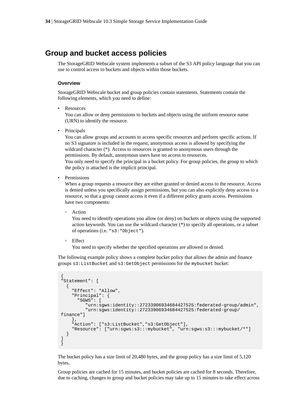# <span id="page-33-0"></span>**Group and bucket access policies**

The StorageGRID Webscale system implements a subset of the S3 API policy language that you can use to control access to buckets and objects within those buckets.

### **Overview**

StorageGRID Webscale bucket and group policies contain statements. Statements contain the following elements, which you need to define:

• Resources

You can allow or deny permissions to buckets and objects using the uniform resource name (URN) to identify the resource.

• Principals

You can allow groups and accounts to access specific resources and perform specific actions. If no S3 signature is included in the request, anonymous access is allowed by specifying the wildcard character (\*). Access to resources is granted to anonymous users through the permissions. By default, anonymous users have no access to resources.

You only need to specify the principal in a bucket policy. For group policies, the group to which the policy is attached is the implicit principal.

• Permissions

When a group requests a resource they are either granted or denied access to the resource. Access is denied unless you specifically assign permissions, but you can also explicitly deny access to a resource, so that a group cannot access it even if a different policy grants access. Permissions have two components:

◦ Action

You need to identify operations you allow (or deny) on buckets or objects using the supported action keywords. You can use the wildcard character (\*) to specify all operations, or a subset of operations (i.e. "s3:\*Object").

**Effect** 

You need to specify whether the specified operations are allowed or denied.

The following example policy shows a complete bucket policy that allows the admin and finance groups s3:ListBucket and s3:GetObject permissions for the mybucket bucket:

```
{
"Statement": [
  \{ "Effect": "Allow",
     "Principal": {
       "SGWS": [
          "urn:sgws:identity::27233906934684427525:federated-group/admin",
          "urn:sgws:identity::27233906934684427525:federated-group/
finance"]
     },
     "Action": ["s3:ListBucket","s3:GetObject"],
     "Resource": ["urn:sgws:s3:::mybucket", "urn:sgws:s3:::mybucket/*"]
   }
]
}
```
The bucket policy has a size limit of 20,480 bytes, and the group policy has a size limit of 5,120 bytes.

Group policies are cached for 15 minutes, and bucket policies are cached for 8 seconds. Therefore, due to caching, changes to group and bucket policies may take up to 15 minutes to take effect across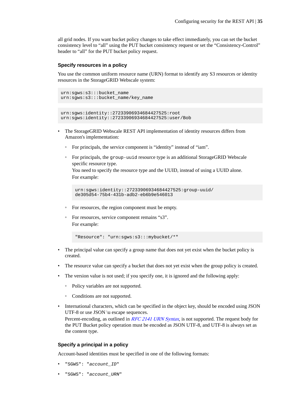all grid nodes. If you want bucket policy changes to take effect immediately, you can set the bucket consistency level to "all" using the PUT bucket consistency request or set the "Consistency-Control" header to "all" for the PUT bucket policy request.

### **Specify resources in a policy**

You use the common uniform resource name (URN) format to identify any S3 resources or identity resources in the StorageGRID Webscale system:

```
urn:sgws:s3:::bucket_name
urn:sgws:s3:::bucket_name/key_name
```

```
urn:sgws:identity::27233906934684427525:root
urn:sgws:identity::27233906934684427525:user/Bob
```
- The StorageGRID Webscale REST API implementation of identity resources differs from Amazon's implementation:
	- For principals, the service component is "identity" instead of "iam".
	- For principals, the group-uuid resource type is an additional StorageGRID Webscale specific resource type.

You need to specify the resource type and the UUID, instead of using a UUID alone. For example:

```
urn:sgws:identity::27233906934684427525:group-uuid/
de305d54-75b4-431b-adb2-eb6b9e546013
```
- For resources, the region component must be empty.
- For resources, service component remains "s3". For example:

"Resource": "urn:sgws:s3:::mybucket/\*"

- The principal value can specify a group name that does not yet exist when the bucket policy is created.
- The resource value can specify a bucket that does not yet exist when the group policy is created.
- The version value is not used; if you specify one, it is ignored and the following apply:
	- Policy variables are not supported.
	- Conditions are not supported.
- International characters, which can be specified in the object key, should be encoded using JSON UTF-8 or use JSON \u escape sequences. Percent-encoding, as outlined in [RFC 2141 URN Syntax](https://www.ietf.org/rfc/rfc2141.txt), is not supported. The request body for the PUT Bucket policy operation must be encoded as JSON UTF-8, and UTF-8 is always set as the content type.

### **Specify a principal in a policy**

Account-based identities must be specified in one of the following formats:

- "SGWS": "account\_ID"
- "SGWS": "account\_URN"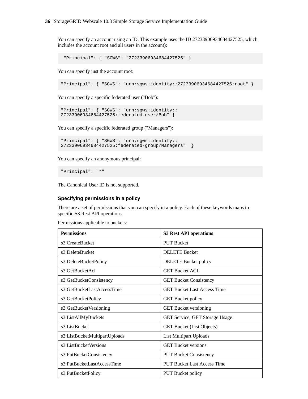You can specify an account using an ID. This example uses the ID 27233906934684427525, which includes the account root and all users in the account):

```
 "Principal": { "SGWS": "27233906934684427525" }
```
You can specify just the account root:

"Principal": { "SGWS": "urn:sgws:identity::27233906934684427525:root" }

You can specify a specific federated user ("Bob"):

```
"Principal": { "SGWS": "urn:sgws:identity::
27233906934684427525:federated-user/Bob" }
```
You can specify a specific federated group ("Managers"):

```
"Principal": { "SGWS": "urn:sgws:identity::
27233906934684427525:federated-group/Managers" }
```
You can specify an anonymous principal:

"Principal": "\*"

The Canonical User ID is not supported.

### **Specifying permissions in a policy**

There are a set of permissions that you can specify in a policy. Each of these keywords maps to specific S3 Rest API operations.

Permissions applicable to buckets:

| <b>Permissions</b>            | <b>S3 Rest API operations</b>         |
|-------------------------------|---------------------------------------|
| s3:CreateBucket               | <b>PUT Bucket</b>                     |
| s3:DeleteBucket               | <b>DELETE Bucket</b>                  |
| s3:DeleteBucketPolicy         | <b>DELETE</b> Bucket policy           |
| s3:GetBucketAcl               | <b>GET Bucket ACL</b>                 |
| s3:GetBucketConsistency       | <b>GET Bucket Consistency</b>         |
| s3:GetBucketLastAccessTime    | <b>GET Bucket Last Access Time</b>    |
| s3:GetBucketPolicy            | <b>GET Bucket policy</b>              |
| s3:GetBucketVersioning        | <b>GET</b> Bucket versioning          |
| s3:ListAllMyBuckets           | <b>GET Service, GET Storage Usage</b> |
| s3:ListBucket                 | <b>GET Bucket (List Objects)</b>      |
| s3:ListBucketMultipartUploads | <b>List Multipart Uploads</b>         |
| s3:ListBucketVersions         | <b>GET Bucket versions</b>            |
| s3:PutBucketConsistency       | <b>PUT Bucket Consistency</b>         |
| s3:PutBucketLastAccessTime    | <b>PUT Bucket Last Access Time</b>    |
| s3:PutBucketPolicy            | <b>PUT Bucket policy</b>              |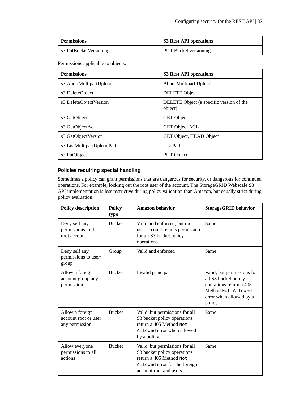| <b>Permissions</b>     | S3 Rest API operations |
|------------------------|------------------------|
| s3:PutBucketVersioning | PUT Bucket versioning  |

Permissions applicable to objects:

| <b>Permissions</b>          | <b>S3 Rest API operations</b>                       |
|-----------------------------|-----------------------------------------------------|
| s3:AbortMultipartUpload     | <b>Abort Multipart Upload</b>                       |
| s3:DeleteObject             | <b>DELETE</b> Object                                |
| s3:DeleteObjectVersion      | DELETE Object (a specific version of the<br>object) |
| s3:GetObject                | <b>GET</b> Object                                   |
| s3:GetObjectAcl             | <b>GET Object ACL</b>                               |
| s3:GetObjectVersion         | GET Object, HEAD Object                             |
| s3:ListMultipartUploadParts | <b>List Parts</b>                                   |
| s3:PutObject                | PUT Object                                          |

### **Policies requiring special handling**

Sometimes a policy can grant permissions that are dangerous for security, or dangerous for continued operations. For example, locking out the root user of the account. The StorageGRID Webscale S3 API implementation is less restrictive during policy validation than Amazon, but equally strict during policy evaluation.

| <b>Policy description</b>                                 | <b>Policy</b><br>type | <b>Amazon behavior</b>                                                                                                                              | <b>StorageGRID</b> behavior                                                                                                              |
|-----------------------------------------------------------|-----------------------|-----------------------------------------------------------------------------------------------------------------------------------------------------|------------------------------------------------------------------------------------------------------------------------------------------|
| Deny self any<br>permissions to the<br>root account       | <b>Bucket</b>         | Valid and enforced, but root<br>user account retains permission<br>for all S3 bucket policy<br>operations                                           | Same                                                                                                                                     |
| Deny self any<br>permissions to user/<br>group            | Group                 | Valid and enforced                                                                                                                                  | Same                                                                                                                                     |
| Allow a foreign<br>account group any<br>permission        | <b>Bucket</b>         | Invalid principal                                                                                                                                   | Valid, but permissions for<br>all S3 bucket policy<br>operations return a 405<br>Method Not Allowed<br>error when allowed by a<br>policy |
| Allow a foreign<br>account root or user<br>any permission | <b>Bucket</b>         | Valid, but permissions for all<br>S3 bucket policy operations<br>return a 405 Method Not<br>Allowed error when allowed<br>by a policy               | Same                                                                                                                                     |
| Allow everyone<br>permissions to all<br>actions           | <b>Bucket</b>         | Valid, but permissions for all<br>S3 bucket policy operations<br>return a 405 Method Not<br>Allowed error for the foreign<br>account root and users | Same                                                                                                                                     |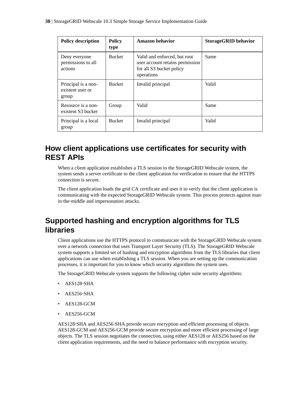<span id="page-37-0"></span>

| <b>Policy description</b>                        | <b>Policy</b><br>type | Amazon behavior                                                                                           | <b>StorageGRID</b> behavior |
|--------------------------------------------------|-----------------------|-----------------------------------------------------------------------------------------------------------|-----------------------------|
| Deny everyone<br>permissions to all<br>actions   | <b>Bucket</b>         | Valid and enforced, but root<br>user account retains permission<br>for all S3 bucket policy<br>operations | Same                        |
| Principal is a non-<br>existent user or<br>group | <b>Bucket</b>         | Invalid principal                                                                                         | Valid                       |
| Resource is a non-<br>existent S3 bucket         | Group                 | Valid                                                                                                     | Same                        |
| Principal is a local<br>group                    | <b>Bucket</b>         | Invalid principal                                                                                         | Valid                       |

# **How client applications use certificates for security with REST APIs**

When a client application establishes a TLS session to the StorageGRID Webscale system, the system sends a server certificate to the client application for verification to ensure that the HTTPS connection is secure.

The client application loads the grid CA certificate and uses it to verify that the client application is communicating with the expected StorageGRID Webscale system. This process protects against manin‐the‐middle and impersonation attacks.

# **Supported hashing and encryption algorithms for TLS libraries**

Client applications use the HTTPS protocol to communicate with the StorageGRID Webscale system over a network connection that uses Transport Layer Security (TLS). The StorageGRID Webscale system supports a limited set of hashing and encryption algorithms from the TLS libraries that client applications can use when establishing a TLS session. When you are setting up the communication processes, it is important for you to know which security algorithms the system uses.

The StorageGRID Webscale system supports the following cipher suite security algorithms:

- AES128‐SHA
- AES256‐SHA
- AES128-GCM
- AES256-GCM

AES128‐SHA and AES256‐SHA provide secure encryption and efficient processing of objects. AES128-GCM and AES256-GCM provide secure encryption and more efficient processing of large objects. The TLS session negotiates the connection, using either AES128 or AES256 based on the client application requirements, and the need to balance performance with encryption security.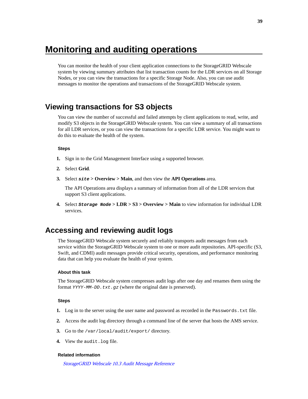# <span id="page-38-0"></span>**Monitoring and auditing operations**

You can monitor the health of your client application connections to the StorageGRID Webscale system by viewing summary attributes that list transaction counts for the LDR services on all Storage Nodes, or you can view the transactions for a specific Storage Node. Also, you can use audit messages to monitor the operations and transactions of the StorageGRID Webscale system.

# **Viewing transactions for S3 objects**

You can view the number of successful and failed attempts by client applications to read, write, and modify S3 objects in the StorageGRID Webscale system. You can view a summary of all transactions for all LDR services, or you can view the transactions for a specific LDR service. You might want to do this to evaluate the health of the system.

### **Steps**

- **1.** Sign in to the Grid Management Interface using a supported browser.
- **2.** Select **Grid**.
- **3.** Select **site > Overview > Main**, and then view the **API Operations** area.

The API Operations area displays a summary of information from all of the LDR services that support S3 client applications.

**4.** Select **Storage Node > LDR > S3 > Overview > Main** to view information for individual LDR services.

# **Accessing and reviewing audit logs**

The StorageGRID Webscale system securely and reliably transports audit messages from each service within the StorageGRID Webscale system to one or more audit repositories. API-specific (S3, Swift, and CDMI) audit messages provide critical security, operations, and performance monitoring data that can help you evaluate the health of your system.

### **About this task**

The StorageGRID Webscale system compresses audit logs after one day and renames them using the format  $YYYY-MM-DD.txt. qz$  (where the original date is preserved).

#### **Steps**

- **1.** Log in to the server using the user name and password as recorded in the Passwords.txt file.
- **2.** Access the audit log directory through a command line of the server that hosts the AMS service.
- **3.** Go to the /var/local/audit/export/ directory.
- **4.** View the audit.log file.

### **Related information**

[StorageGRID Webscale 10.3 Audit Message Reference](https://library.netapp.com/ecm/ecm_download_file/ECMLP2411997)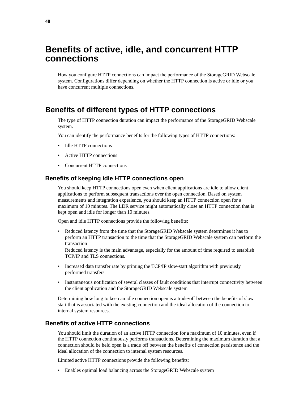# <span id="page-39-0"></span>**Benefits of active, idle, and concurrent HTTP connections**

How you configure HTTP connections can impact the performance of the StorageGRID Webscale system. Configurations differ depending on whether the HTTP connection is active or idle or you have concurrent multiple connections.

# **Benefits of different types of HTTP connections**

The type of HTTP connection duration can impact the performance of the StorageGRID Webscale system.

You can identify the performance benefits for the following types of HTTP connections:

- Idle HTTP connections
- Active HTTP connections
- Concurrent HTTP connections

## **Benefits of keeping idle HTTP connections open**

You should keep HTTP connections open even when client applications are idle to allow client applications to perform subsequent transactions over the open connection. Based on system measurements and integration experience, you should keep an HTTP connection open for a maximum of 10 minutes. The LDR service might automatically close an HTTP connection that is kept open and idle for longer than 10 minutes.

Open and idle HTTP connections provide the following benefits:

• Reduced latency from the time that the StorageGRID Webscale system determines it has to perform an HTTP transaction to the time that the StorageGRID Webscale system can perform the transaction

Reduced latency is the main advantage, especially for the amount of time required to establish TCP/IP and TLS connections.

- Increased data transfer rate by priming the TCP/IP slow-start algorithm with previously performed transfers
- Instantaneous notification of several classes of fault conditions that interrupt connectivity between the client application and the StorageGRID Webscale system

Determining how long to keep an idle connection open is a trade‐off between the benefits of slow start that is associated with the existing connection and the ideal allocation of the connection to internal system resources.

## **Benefits of active HTTP connections**

You should limit the duration of an active HTTP connection for a maximum of 10 minutes, even if the HTTP connection continuously performs transactions. Determining the maximum duration that a connection should be held open is a trade‐off between the benefits of connection persistence and the ideal allocation of the connection to internal system resources.

Limited active HTTP connections provide the following benefits:

• Enables optimal load balancing across the StorageGRID Webscale system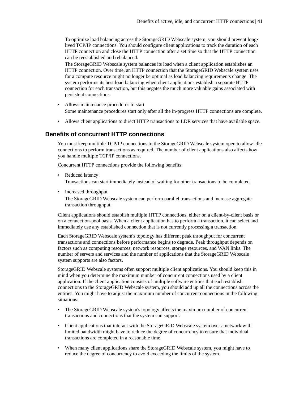<span id="page-40-0"></span>To optimize load balancing across the StorageGRID Webscale system, you should prevent long‐ lived TCP/IP connections. You should configure client applications to track the duration of each HTTP connection and close the HTTP connection after a set time so that the HTTP connection can be reestablished and rebalanced.

The StorageGRID Webscale system balances its load when a client application establishes an HTTP connection. Over time, an HTTP connection that the StorageGRID Webscale system uses for a compute resource might no longer be optimal as load balancing requirements change. The system performs its best load balancing when client applications establish a separate HTTP connection for each transaction, but this negates the much more valuable gains associated with persistent connections.

- Allows maintenance procedures to start Some maintenance procedures start only after all the in-progress HTTP connections are complete.
- Allows client applications to direct HTTP transactions to LDR services that have available space.

# **Benefits of concurrent HTTP connections**

You must keep multiple TCP/IP connections to the StorageGRID Webscale system open to allow idle connections to perform transactions as required. The number of client applications also affects how you handle multiple TCP/IP connections.

Concurrent HTTP connections provide the following benefits:

- Reduced latency Transactions can start immediately instead of waiting for other transactions to be completed.
- Increased throughput The StorageGRID Webscale system can perform parallel transactions and increase aggregate transaction throughput.

Client applications should establish multiple HTTP connections, either on a client-by-client basis or on a connection-pool basis. When a client application has to perform a transaction, it can select and immediately use any established connection that is not currently processing a transaction.

Each StorageGRID Webscale system's topology has different peak throughput for concurrent transactions and connections before performance begins to degrade. Peak throughput depends on factors such as computing resources, network resources, storage resources, and WAN links. The number of servers and services and the number of applications that the StorageGRID Webscale system supports are also factors.

StorageGRID Webscale systems often support multiple client applications. You should keep this in mind when you determine the maximum number of concurrent connections used by a client application. If the client application consists of multiple software entities that each establish connections to the StorageGRID Webscale system, you should add up all the connections across the entities. You might have to adjust the maximum number of concurrent connections in the following situations:

- The StorageGRID Webscale system's topology affects the maximum number of concurrent transactions and connections that the system can support.
- Client applications that interact with the StorageGRID Webscale system over a network with limited bandwidth might have to reduce the degree of concurrency to ensure that individual transactions are completed in a reasonable time.
- When many client applications share the StorageGRID Webscale system, you might have to reduce the degree of concurrency to avoid exceeding the limits of the system.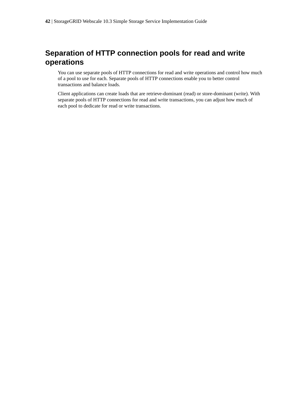# <span id="page-41-0"></span>**Separation of HTTP connection pools for read and write operations**

You can use separate pools of HTTP connections for read and write operations and control how much of a pool to use for each. Separate pools of HTTP connections enable you to better control transactions and balance loads.

Client applications can create loads that are retrieve-dominant (read) or store-dominant (write). With separate pools of HTTP connections for read and write transactions, you can adjust how much of each pool to dedicate for read or write transactions.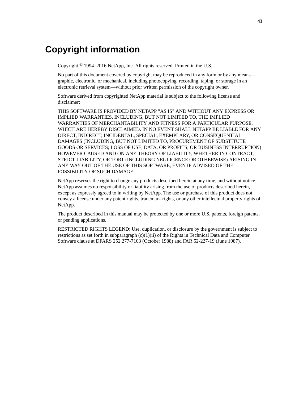# <span id="page-42-0"></span>**Copyright information**

Copyright © 1994–2016 NetApp, Inc. All rights reserved. Printed in the U.S.

No part of this document covered by copyright may be reproduced in any form or by any means graphic, electronic, or mechanical, including photocopying, recording, taping, or storage in an electronic retrieval system—without prior written permission of the copyright owner.

Software derived from copyrighted NetApp material is subject to the following license and disclaimer:

THIS SOFTWARE IS PROVIDED BY NETAPP "AS IS" AND WITHOUT ANY EXPRESS OR IMPLIED WARRANTIES, INCLUDING, BUT NOT LIMITED TO, THE IMPLIED WARRANTIES OF MERCHANTABILITY AND FITNESS FOR A PARTICULAR PURPOSE, WHICH ARE HEREBY DISCLAIMED. IN NO EVENT SHALL NETAPP BE LIABLE FOR ANY DIRECT, INDIRECT, INCIDENTAL, SPECIAL, EXEMPLARY, OR CONSEQUENTIAL DAMAGES (INCLUDING, BUT NOT LIMITED TO, PROCUREMENT OF SUBSTITUTE GOODS OR SERVICES; LOSS OF USE, DATA, OR PROFITS; OR BUSINESS INTERRUPTION) HOWEVER CAUSED AND ON ANY THEORY OF LIABILITY, WHETHER IN CONTRACT, STRICT LIABILITY, OR TORT (INCLUDING NEGLIGENCE OR OTHERWISE) ARISING IN ANY WAY OUT OF THE USE OF THIS SOFTWARE, EVEN IF ADVISED OF THE POSSIBILITY OF SUCH DAMAGE.

NetApp reserves the right to change any products described herein at any time, and without notice. NetApp assumes no responsibility or liability arising from the use of products described herein, except as expressly agreed to in writing by NetApp. The use or purchase of this product does not convey a license under any patent rights, trademark rights, or any other intellectual property rights of NetApp.

The product described in this manual may be protected by one or more U.S. patents, foreign patents, or pending applications.

RESTRICTED RIGHTS LEGEND: Use, duplication, or disclosure by the government is subject to restrictions as set forth in subparagraph  $(c)(1)(ii)$  of the Rights in Technical Data and Computer Software clause at DFARS 252.277-7103 (October 1988) and FAR 52-227-19 (June 1987).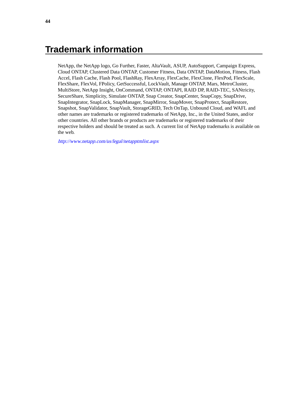# <span id="page-43-0"></span>**Trademark information**

NetApp, the NetApp logo, Go Further, Faster, AltaVault, ASUP, AutoSupport, Campaign Express, Cloud ONTAP, Clustered Data ONTAP, Customer Fitness, Data ONTAP, DataMotion, Fitness, Flash Accel, Flash Cache, Flash Pool, FlashRay, FlexArray, FlexCache, FlexClone, FlexPod, FlexScale, FlexShare, FlexVol, FPolicy, GetSuccessful, LockVault, Manage ONTAP, Mars, MetroCluster, MultiStore, NetApp Insight, OnCommand, ONTAP, ONTAPI, RAID DP, RAID-TEC, SANtricity, SecureShare, Simplicity, Simulate ONTAP, Snap Creator, SnapCenter, SnapCopy, SnapDrive, SnapIntegrator, SnapLock, SnapManager, SnapMirror, SnapMover, SnapProtect, SnapRestore, Snapshot, SnapValidator, SnapVault, StorageGRID, Tech OnTap, Unbound Cloud, and WAFL and other names are trademarks or registered trademarks of NetApp, Inc., in the United States, and/or other countries. All other brands or products are trademarks or registered trademarks of their respective holders and should be treated as such. A current list of NetApp trademarks is available on the web.

<http://www.netapp.com/us/legal/netapptmlist.aspx>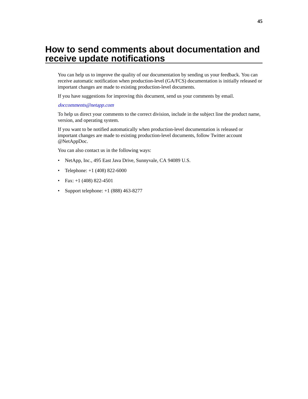# <span id="page-44-0"></span>**How to send comments about documentation and receive update notifications**

You can help us to improve the quality of our documentation by sending us your feedback. You can receive automatic notification when production-level (GA/FCS) documentation is initially released or important changes are made to existing production-level documents.

If you have suggestions for improving this document, send us your comments by email.

### [doccomments@netapp.com](mailto:doccomments@netapp.com)

To help us direct your comments to the correct division, include in the subject line the product name, version, and operating system.

If you want to be notified automatically when production-level documentation is released or important changes are made to existing production-level documents, follow Twitter account @NetAppDoc.

You can also contact us in the following ways:

- NetApp, Inc., 495 East Java Drive, Sunnyvale, CA 94089 U.S.
- Telephone: +1 (408) 822-6000
- Fax:  $+1$  (408) 822-4501
- Support telephone:  $+1$  (888) 463-8277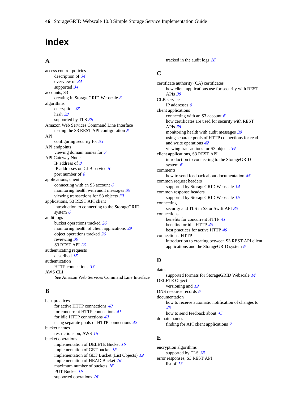# <span id="page-45-0"></span>**Index**

## **A**

access control policies description of [34](#page-33-0) overview of [34](#page-33-0) supported [34](#page-33-0) accounts, S3 creating in StorageGRID Webscale [6](#page-5-0) algorithms encryption [38](#page-37-0) hash [38](#page-37-0) supported by TLS [38](#page-37-0) Amazon Web Services Command Line Interface testing the S3 REST API configuration  $8$ API configuring security for [33](#page-32-0) API endpoints viewing domain names for [7](#page-6-0) API Gateway Nodes IP address of  $8$ IP addresses on CLB service [8](#page-7-0) port number of  $8$ applications, client connecting with an S3 account  $6$ monitoring health with audit messages [39](#page-38-0) viewing transactions for S3 objects [39](#page-38-0) applications, S3 REST API client introduction to connecting to the StorageGRID system  $6$ audit logs bucket operations tracked [26](#page-25-0) monitoring health of client applications [39](#page-38-0) object operations tracked [26](#page-25-0) reviewing [39](#page-38-0) S3 REST API [26](#page-25-0) authenticating requests described [15](#page-14-0) authentication HTTP connections [33](#page-32-0) AWS CLI See Amazon Web Services Command Line Interface

## **B**

best practices for active HTTP connections [40](#page-39-0) for concurrent HTTP connections [41](#page-40-0) for idle HTTP connections [40](#page-39-0) using separate pools of HTTP connections  $42$ bucket names restrictions on, AWS [16](#page-15-0) bucket operations implementation of DELETE Bucket [16](#page-15-0) implementation of GET bucket [16](#page-15-0) implementation of GET Bucket (List Objects) [19](#page-18-0) implementation of HEAD Bucket [16](#page-15-0) maximum number of buckets [16](#page-15-0) PUT Bucket [16](#page-15-0) supported operations [16](#page-15-0)

tracked in the audit logs [26](#page-25-0)

# **C**

certificate authority (CA) certificates how client applications use for security with REST APIs [38](#page-37-0) CLB service IP addresses [8](#page-7-0) client applications connecting with an S3 account  $6$ how certificates are used for security with REST APIs [38](#page-37-0) monitoring health with audit messages [39](#page-38-0) using separate pools of HTTP connections for read and write operations [42](#page-41-0) viewing transactions for S3 objects [39](#page-38-0) client applications, S3 REST API introduction to connecting to the StorageGRID system  $6$ comments how to send feedback about documentation [45](#page-44-0) common request headers supported by StorageGRID Webscale [14](#page-13-0) common response headers supported by StorageGRID Webscale [15](#page-14-0) connecting security and TLS in S3 or Swift API [33](#page-32-0) connections benefits for concurrent HTTP [41](#page-40-0) benefits for idle HTTP [40](#page-39-0) best practices for active HTTP  $40$ connections, HTTP introduction to creating between S3 REST API client applications and the StorageGRID system  $6$ 

### **D**

dates supported formats for StorageGRID Webscale [14](#page-13-0) DELETE Object versioning and [19](#page-18-0) DNS resource records [6](#page-5-0) documentation how to receive automatic notification of changes to [45](#page-44-0) how to send feedback about [45](#page-44-0) domain names

finding for API client applications [7](#page-6-0)

## **E**

encryption algorithms supported by TLS [38](#page-37-0) error responses, S3 REST API list of [13](#page-12-0)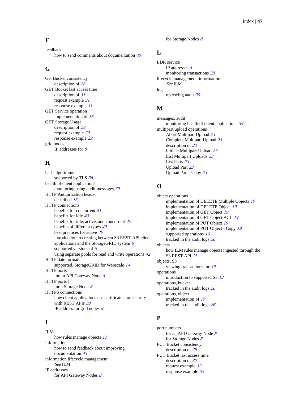## **F**

feedback how to send comments about documentation [45](#page-44-0)

# **G**

Get Bucket consistency description of [28](#page-27-0) GET Bucket last access time description of [31](#page-30-0) request example [31](#page-30-0) response example [31](#page-30-0) GET Service operation implementation of [16](#page-15-0) GET Storage Usage description of [29](#page-28-0) request example [29](#page-28-0) response example [29](#page-28-0) grid nodes IP addresses for  $8$ 

## **H**

hash algorithms supported by TLS [38](#page-37-0) health of client applications monitoring using audit messages [39](#page-38-0) HTTP Authorization header described [15](#page-14-0) HTTP connections benefits for concurrent [41](#page-40-0) benefits for idle [40](#page-39-0) benefits for idle, active, and concurrent [40](#page-39-0) benefits of different types  $40$ best practices for active [40](#page-39-0) introduction to creating between S3 REST API client applications and the StorageGRID system [6](#page-5-0) supported versions of  $5$ using separate pools for read and write operations  $42$ HTTP date formats supported, StorageGRID for Webscale [14](#page-13-0) HTTP ports for an API Gateway Node [8](#page-7-0) HTTP ports | for a Storage Node [8](#page-7-0) HTTPS connections how client applications use certificates for security with REST APIs [38](#page-37-0) IP address for grid nodes  $8$ 

## **I**

ILM how rules manage objects  $11$ information how to send feedback about improving documentation [45](#page-44-0) information lifecycle management See ILM IP addresses for API Gateway Nodes  $8$ 

for Storage Nodes [8](#page-7-0)

# **L**

LDR service IP addresses  $8$ monitoring transactions [39](#page-38-0) lifecycle management, information See ILM logs reviewing audit [39](#page-38-0)

# **M**

messages, audit monitoring health of client applications [39](#page-38-0) multipart upload operations Abort Multipart Upload [23](#page-22-0) Complete Multipart Upload [23](#page-22-0) description of [23](#page-22-0) Initiate Multipart Upload [23](#page-22-0) List Multipart Uploads [23](#page-22-0) List Parts [23](#page-22-0) Upload Part [23](#page-22-0) Upload Part - Copy [23](#page-22-0)

# **O**

object operations implementation of DELETE Multiple Objects [19](#page-18-0) implementation of DELETE Object [19](#page-18-0) implementation of GET Object [19](#page-18-0) implementation of GET Object ACL [19](#page-18-0) implementation of PUT Object [19](#page-18-0) implementation of PUT Object - Copy [19](#page-18-0) supported operations [16](#page-15-0) tracked in the audit logs [26](#page-25-0) objects how ILM rules manage objects ingested through the S3 REST API [11](#page-10-0) objects, S3 viewing transactions for [39](#page-38-0) operations introduction to supported S3 [13](#page-12-0) operations, bucket tracked in the audit logs [26](#page-25-0) operations, object implementation of [19](#page-18-0) tracked in the audit logs [26](#page-25-0)

# **P**

port numbers for an API Gateway Node  $8$ for Storage Nodes [8](#page-7-0) PUT Bucket consistency description of [29](#page-28-0) PUT Bucket last access time description of [32](#page-31-0) request example [32](#page-31-0) response example [32](#page-31-0)